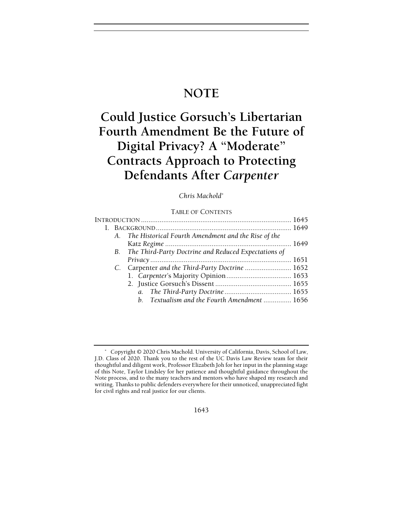## **NOTE**

# Could Justice Gorsuch's Libertarian Fourth Amendment Be the Future of Digital Privacy? A "Moderate" Contracts Approach to Protecting Defendants After Carpenter

Chris Machold\*

### TABLE OF CONTENTS

| A. The Historical Fourth Amendment and the Rise of the  |  |
|---------------------------------------------------------|--|
|                                                         |  |
| B. The Third-Party Doctrine and Reduced Expectations of |  |
|                                                         |  |
| C. Carpenter and the Third-Party Doctrine  1652         |  |
|                                                         |  |
|                                                         |  |
|                                                         |  |
| b. Textualism and the Fourth Amendment  1656            |  |
|                                                         |  |

Copyright © 2020 Chris Machold. University of California, Davis, School of Law, J.D. Class of 2020. Thank you to the rest of the UC Davis Law Review team for their thoughtful and diligent work, Professor Elizabeth Joh for her input in the planning stage of this Note, Taylor Lindsley for her patience and thoughtful guidance throughout the Note process, and to the many teachers and mentors who have shaped my research and writing. Thanks to public defenders everywhere for their unnoticed, unappreciated fight for civil rights and real justice for our clients.

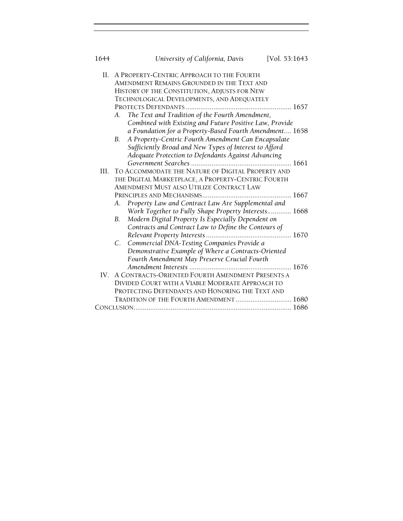| 1644 | University of California, Davis<br>[Vol. 53:1643]         |  |
|------|-----------------------------------------------------------|--|
| П.   | A PROPERTY-CENTRIC APPROACH TO THE FOURTH                 |  |
|      | AMENDMENT REMAINS GROUNDED IN THE TEXT AND                |  |
|      | HISTORY OF THE CONSTITUTION, ADJUSTS FOR NEW              |  |
|      | TECHNOLOGICAL DEVELOPMENTS, AND ADEQUATELY                |  |
|      |                                                           |  |
|      | The Text and Tradition of the Fourth Amendment,<br>А.     |  |
|      | Combined with Existing and Future Positive Law, Provide   |  |
|      | a Foundation for a Property-Based Fourth Amendment 1658   |  |
|      | A Property-Centric Fourth Amendment Can Encapsulate<br>B. |  |
|      | Sufficiently Broad and New Types of Interest to Afford    |  |
|      | Adequate Protection to Defendants Against Advancing       |  |
|      |                                                           |  |
| HL.  | TO ACCOMMODATE THE NATURE OF DIGITAL PROPERTY AND         |  |
|      | THE DIGITAL MARKETPLACE, A PROPERTY-CENTRIC FOURTH        |  |
|      | AMENDMENT MUST ALSO UTILIZE CONTRACT LAW                  |  |
|      |                                                           |  |
|      | Property Law and Contract Law Are Supplemental and<br>А.  |  |
|      | Work Together to Fully Shape Property Interests 1668      |  |
|      | Modern Digital Property Is Especially Dependent on<br>В.  |  |
|      | Contracts and Contract Law to Define the Contours of      |  |
|      |                                                           |  |
|      | C. Commercial DNA-Testing Companies Provide a             |  |
|      | Demonstrative Example of Where a Contracts-Oriented       |  |
|      | Fourth Amendment May Preserve Crucial Fourth              |  |
|      |                                                           |  |
| IV.  | A CONTRACTS-ORIENTED FOURTH AMENDMENT PRESENTS A          |  |
|      | DIVIDED COURT WITH A VIABLE MODERATE APPROACH TO          |  |
|      | PROTECTING DEFENDANTS AND HONORING THE TEXT AND           |  |
|      | TRADITION OF THE FOURTH AMENDMENT  1680                   |  |
|      |                                                           |  |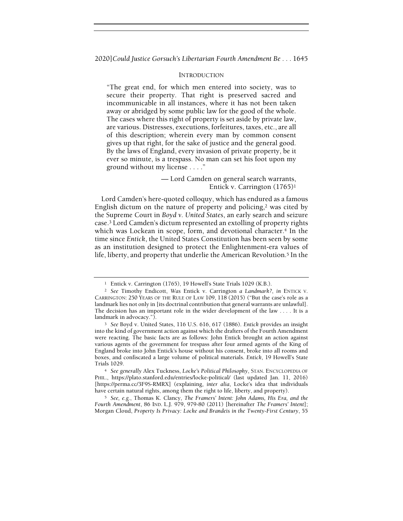#### INTRODUCTION

"The great end, for which men entered into society, was to secure their property. That right is preserved sacred and incommunicable in all instances, where it has not been taken away or abridged by some public law for the good of the whole. The cases where this right of property is set aside by private law, are various. Distresses, executions, forfeitures, taxes, etc., are all of this description; wherein every man by common consent gives up that right, for the sake of justice and the general good. By the laws of England, every invasion of private property, be it ever so minute, is a trespass. No man can set his foot upon my ground without my license . . . ."

> — Lord Camden on general search warrants, Entick v. Carrington (1765)<sup>1</sup>

Lord Camden's here-quoted colloquy, which has endured as a famous English dictum on the nature of property and policing, $2$  was cited by the Supreme Court in Boyd v. United States, an early search and seizure case.3 Lord Camden's dictum represented an extolling of property rights which was Lockean in scope, form, and devotional character.<sup>4</sup> In the time since Entick, the United States Constitution has been seen by some as an institution designed to protect the Enlightenment-era values of life, liberty, and property that underlie the American Revolution.<sup>5</sup> In the

<sup>&</sup>lt;sup>1</sup> Entick v. Carrington (1765), 19 Howell's State Trials 1029 (K.B.).

<sup>2</sup> See Timothy Endicott, Was Entick v. Carrington a Landmark?, in ENTICK V. CARRINGTON: 250 YEARS OF THE RULE OF LAW 109, 118 (2015) ("But the case's role as a landmark lies not only in [its doctrinal contribution that general warrants are unlawful]. The decision has an important role in the wider development of the law . . . . It is a landmark in advocacy.").

<sup>3</sup> See Boyd v. United States, 116 U.S. 616, 617 (1886). Entick provides an insight into the kind of government action against which the drafters of the Fourth Amendment were reacting. The basic facts are as follows: John Entick brought an action against various agents of the government for trespass after four armed agents of the King of England broke into John Entick's house without his consent, broke into all rooms and boxes, and confiscated a large volume of political materials. Entick, 19 Howell's State Trials 1029.

<sup>4</sup> See generally Alex Tuckness, Locke's Political Philosophy, STAN. ENCYCLOPEDIA OF PHIL., https://plato.stanford.edu/entries/locke-political/ (last updated Jan. 11, 2016) [https://perma.cc/3F9S-RMRX] (explaining, inter alia, Locke's idea that individuals have certain natural rights, among them the right to life, liberty, and property).

<sup>5</sup> See, e.g., Thomas K. Clancy, The Framers' Intent: John Adams, His Era, and the Fourth Amendment, 86 IND. L.J. 979, 979-80 (2011) [hereinafter The Framers' Intent]; Morgan Cloud, Property Is Privacy: Locke and Brandeis in the Twenty-First Century, 55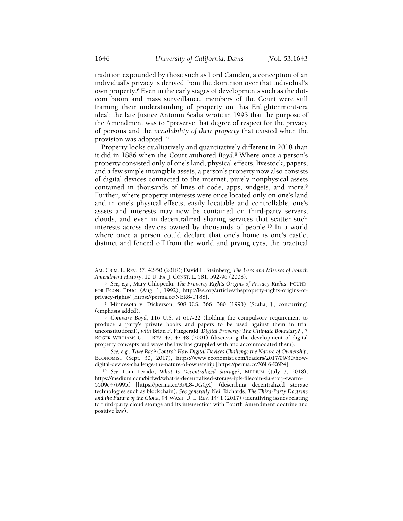tradition expounded by those such as Lord Camden, a conception of an individual's privacy is derived from the dominion over that individual's own property.6 Even in the early stages of developments such as the dotcom boom and mass surveillance, members of the Court were still framing their understanding of property on this Enlightenment-era ideal: the late Justice Antonin Scalia wrote in 1993 that the purpose of the Amendment was to "preserve that degree of respect for the privacy of persons and the inviolability of their property that existed when the provision was adopted."<sup>7</sup>

Property looks qualitatively and quantitatively different in 2018 than it did in 1886 when the Court authored Boyd.8 Where once a person's property consisted only of one's land, physical effects, livestock, papers, and a few simple intangible assets, a person's property now also consists of digital devices connected to the internet, purely nonphysical assets contained in thousands of lines of code, apps, widgets, and more.<sup>9</sup> Further, where property interests were once located only on one's land and in one's physical effects, easily locatable and controllable, one's assets and interests may now be contained on third-party servers, clouds, and even in decentralized sharing services that scatter such interests across devices owned by thousands of people.10 In a world where once a person could declare that one's home is one's castle, distinct and fenced off from the world and prying eyes, the practical

<sup>8</sup> Compare Boyd, 116 U.S. at 617-22 (holding the compulsory requirement to produce a party's private books and papers to be used against them in trial unconstitutional), with Brian F. Fitzgerald, Digital Property: The Ultimate Boundary? , 7 ROGER WILLIAMS U. L. REV. 47, 47-48 (2001) (discussing the development of digital property concepts and ways the law has grappled with and accommodated them).

<sup>9</sup> See, e.g., Take Back Control: How Digital Devices Challenge the Nature of Ownership, ECONOMIST (Sept. 30, 2017), https://www.economist.com/leaders/2017/09/30/howdigital-devices-challenge-the-nature-of-ownership [https://perma.cc/X6L6-K6P4].

<sup>10</sup> See Tom Terado, What Is Decentralized Storage?, MEDIUM (July 3, 2018), https://medium.com/bitfwd/what-is-decentralised-storage-ipfs-filecoin-sia-storj-swarm-5509e476995f [https://perma.cc/R9L8-UGQX] (describing decentralized storage technologies such as blockchain). See generally Neil Richards, The Third-Party Doctrine and the Future of the Cloud, 94 WASH. U. L. REV. 1441 (2017) (identifying issues relating to third-party cloud storage and its intersection with Fourth Amendment doctrine and positive law).

AM. CRIM. L. REV. 37, 42-50 (2018); David E. Steinberg, The Uses and Misuses of Fourth Amendment History, 10 U. PA. J. CONST. L. 581, 592-96 (2008).

<sup>6</sup> See, e.g., Mary Chlopecki, The Property Rights Origins of Privacy Rights, FOUND. FOR ECON. EDUC. (Aug. 1, 1992), http://fee.org/articles/theproperty-rights-origins-ofprivacy-rights/ [https://perma.cc/NER8-TT88].

<sup>7</sup> Minnesota v. Dickerson, 508 U.S. 366, 380 (1993) (Scalia, J., concurring) (emphasis added).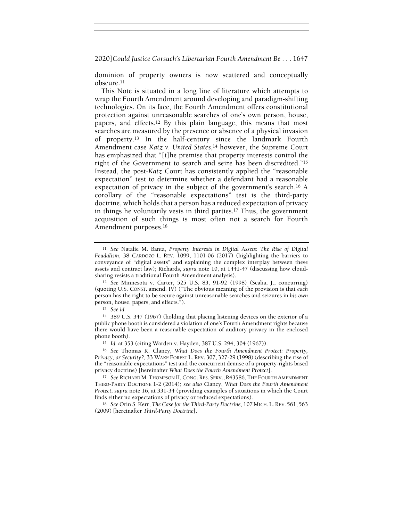dominion of property owners is now scattered and conceptually obscure.<sup>11</sup>

This Note is situated in a long line of literature which attempts to wrap the Fourth Amendment around developing and paradigm-shifting technologies. On its face, the Fourth Amendment offers constitutional protection against unreasonable searches of one's own person, house, papers, and effects.12 By this plain language, this means that most searches are measured by the presence or absence of a physical invasion of property.13 In the half-century since the landmark Fourth Amendment case Katz v. United States,<sup>14</sup> however, the Supreme Court has emphasized that "[t]he premise that property interests control the right of the Government to search and seize has been discredited."<sup>15</sup> Instead, the post-Katz Court has consistently applied the "reasonable expectation" test to determine whether a defendant had a reasonable expectation of privacy in the subject of the government's search.16 A corollary of the "reasonable expectations" test is the third-party doctrine, which holds that a person has a reduced expectation of privacy in things he voluntarily vests in third parties.17 Thus, the government acquisition of such things is most often not a search for Fourth Amendment purposes.<sup>18</sup>

<sup>&</sup>lt;sup>11</sup> See Natalie M. Banta, Property Interests in Digital Assets: The Rise of Digital Feudalism, 38 CARDOZO L. REV. 1099, 1101-06 (2017) (highlighting the barriers to conveyance of "digital assets" and explaining the complex interplay between these assets and contract law); Richards, supra note 10, at 1441-47 (discussing how cloudsharing resists a traditional Fourth Amendment analysis).

<sup>12</sup> See Minnesota v. Carter, 525 U.S. 83, 91-92 (1998) (Scalia, J., concurring) (quoting U.S. CONST. amend. IV) ("The obvious meaning of the provision is that each person has the right to be secure against unreasonable searches and seizures in his own person, house, papers, and effects.").

<sup>13</sup> See id.

<sup>14</sup> 389 U.S. 347 (1967) (holding that placing listening devices on the exterior of a public phone booth is considered a violation of one's Fourth Amendment rights because there would have been a reasonable expectation of auditory privacy in the enclosed phone booth).

<sup>15</sup> Id. at 353 (citing Warden v. Hayden, 387 U.S. 294, 304 (1967)).

<sup>16</sup> See Thomas K. Clancy, What Does the Fourth Amendment Protect: Property, Privacy, or Security?, 33 WAKE FOREST L. REV. 307, 327-29 (1998) (describing the rise of the "reasonable expectations" test and the concurrent demise of a property-rights based privacy doctrine) [hereinafter What Does the Fourth Amendment Protect].

<sup>&</sup>lt;sup>17</sup> See RICHARD M. THOMPSON II, CONG. RES. SERV., R43586, THE FOURTH AMENDMENT THIRD-PARTY DOCTRINE 1-2 (2014); see also Clancy, What Does the Fourth Amendment Protect, supra note 16, at 331-34 (providing examples of situations in which the Court finds either no expectations of privacy or reduced expectations).

<sup>18</sup> See Orin S. Kerr, The Case for the Third-Party Doctrine, 107 MICH. L. REV. 561, 563 (2009) [hereinafter Third-Party Doctrine].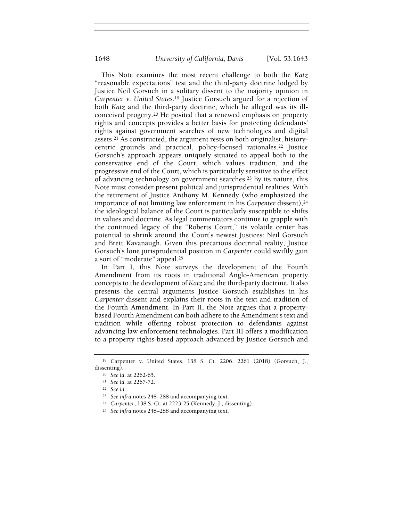This Note examines the most recent challenge to both the Katz "reasonable expectations" test and the third-party doctrine lodged by Justice Neil Gorsuch in a solitary dissent to the majority opinion in Carpenter v. United States.19 Justice Gorsuch argued for a rejection of both Katz and the third-party doctrine, which he alleged was its illconceived progeny.20 He posited that a renewed emphasis on property rights and concepts provides a better basis for protecting defendants' rights against government searches of new technologies and digital assets.21 As constructed, the argument rests on both originalist, historycentric grounds and practical, policy-focused rationales.22 Justice Gorsuch's approach appears uniquely situated to appeal both to the conservative end of the Court, which values tradition, and the progressive end of the Court, which is particularly sensitive to the effect of advancing technology on government searches.23 By its nature, this Note must consider present political and jurisprudential realities. With the retirement of Justice Anthony M. Kennedy (who emphasized the importance of not limiting law enforcement in his Carpenter dissent), $24$ the ideological balance of the Court is particularly susceptible to shifts in values and doctrine. As legal commentators continue to grapple with the continued legacy of the "Roberts Court," its volatile center has potential to shrink around the Court's newest Justices: Neil Gorsuch and Brett Kavanaugh. Given this precarious doctrinal reality, Justice Gorsuch's lone jurisprudential position in Carpenter could swiftly gain a sort of "moderate" appeal.<sup>25</sup>

In Part I, this Note surveys the development of the Fourth Amendment from its roots in traditional Anglo-American property concepts to the development of Katz and the third-party doctrine. It also presents the central arguments Justice Gorsuch establishes in his Carpenter dissent and explains their roots in the text and tradition of the Fourth Amendment. In Part II, the Note argues that a propertybased Fourth Amendment can both adhere to the Amendment's text and tradition while offering robust protection to defendants against advancing law enforcement technologies. Part III offers a modification to a property rights-based approach advanced by Justice Gorsuch and

<sup>19</sup> Carpenter v. United States, 138 S. Ct. 2206, 2261 (2018) (Gorsuch, J., dissenting).

<sup>20</sup> See id. at 2262-65.

<sup>21</sup> See id. at 2267-72.

<sup>22</sup> See id.

<sup>23</sup> See infra notes 248–288 and accompanying text.

<sup>24</sup> Carpenter, 138 S. Ct. at 2223-25 (Kennedy, J., dissenting).

<sup>25</sup> See infra notes 248–288 and accompanying text.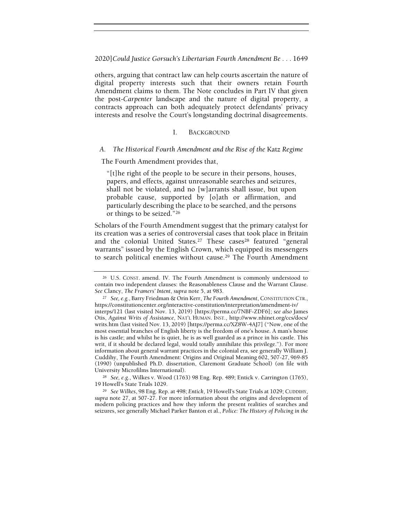others, arguing that contract law can help courts ascertain the nature of digital property interests such that their owners retain Fourth Amendment claims to them. The Note concludes in Part IV that given the post-Carpenter landscape and the nature of digital property, a contracts approach can both adequately protect defendants' privacy interests and resolve the Court's longstanding doctrinal disagreements.

#### I. BACKGROUND

## A. The Historical Fourth Amendment and the Rise of the Katz Regime

The Fourth Amendment provides that,

"[t]he right of the people to be secure in their persons, houses, papers, and effects, against unreasonable searches and seizures, shall not be violated, and no [w]arrants shall issue, but upon probable cause, supported by [o]ath or affirmation, and particularly describing the place to be searched, and the persons or things to be seized."<sup>26</sup>

Scholars of the Fourth Amendment suggest that the primary catalyst for its creation was a series of controversial cases that took place in Britain and the colonial United States.<sup>27</sup> These cases<sup>28</sup> featured "general warrants" issued by the English Crown, which equipped its messengers to search political enemies without cause.<sup>29</sup> The Fourth Amendment

<sup>28</sup> See, e.g., Wilkes v. Wood (1763) 98 Eng. Rep. 489; Entick v. Carrington (1765), 19 Howell's State Trials 1029.

<sup>29</sup> See Wilkes, 98 Eng. Rep. at 498; Entick, 19 Howell's State Trials at 1029; CUDDIHY, supra note 27, at 507-27. For more information about the origins and development of modern policing practices and how they inform the present realities of searches and seizures, see generally Michael Parker Banton et al., Police: The History of Policing in the

<sup>26</sup> U.S. CONST. amend. IV. The Fourth Amendment is commonly understood to contain two independent clauses: the Reasonableness Clause and the Warrant Clause. See Clancy, The Framers' Intent, supra note 5, at 983.

<sup>&</sup>lt;sup>27</sup> See, e.g., Barry Friedman & Orin Kerr, The Fourth Amendment, CONSTITUTION CTR., https://constitutioncenter.org/interactive-constitution/interpretation/amendment-iv/ interps/121 (last visited Nov. 13, 2019) [https://perma.cc/7NBF-ZDF6]; see also James Otis, Against Writs of Assistance, NAT'L HUMAN. INST., http://www.nhinet.org/ccs/docs/ writs.htm (last visited Nov. 13, 2019) [https://perma.cc/XZ8W-4AJ7] ("Now, one of the most essential branches of English liberty is the freedom of one's house. A man's house is his castle; and whilst he is quiet, he is as well guarded as a prince in his castle. This writ, if it should be declared legal, would totally annihilate this privilege."). For more information about general warrant practices in the colonial era, see generally William J. Cuddihy, The Fourth Amendment: Origins and Original Meaning 602, 507-27, 969-85 (1990) (unpublished Ph.D. dissertation, Claremont Graduate School) (on file with University Microfilms International).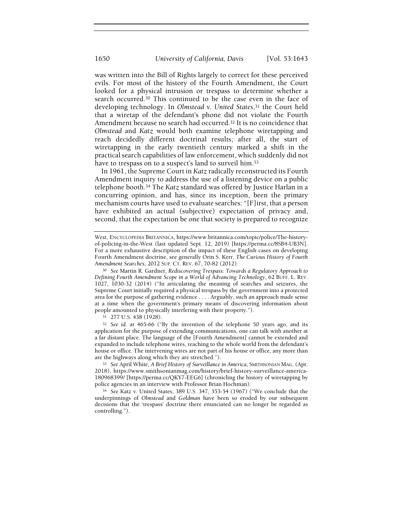was written into the Bill of Rights largely to correct for these perceived evils. For most of the history of the Fourth Amendment, the Court looked for a physical intrusion or trespass to determine whether a search occurred.30 This continued to be the case even in the face of developing technology. In Olmstead v. United States,<sup>31</sup> the Court held that a wiretap of the defendant's phone did not violate the Fourth Amendment because no search had occurred.32 It is no coincidence that Olmstead and Katz would both examine telephone wiretapping and reach decidedly different doctrinal results; after all, the start of wiretapping in the early twentieth century marked a shift in the practical search capabilities of law enforcement, which suddenly did not have to trespass on to a suspect's land to surveil him.<sup>33</sup>

In 1961, the Supreme Court in Katz radically reconstructed its Fourth Amendment inquiry to address the use of a listening device on a public telephone booth.34 The Katz standard was offered by Justice Harlan in a concurring opinion, and has, since its inception, been the primary mechanism courts have used to evaluate searches: "[F]irst, that a person have exhibited an actual (subjective) expectation of privacy and, second, that the expectation be one that society is prepared to recognize

West, ENCYCLOPEDIA BRITANNICA, https://www.britannica.com/topic/police/The-historyof-policing-in-the-West (last updated Sept. 12, 2019) [https://perma.cc/8SB4-UB3N]. For a more exhaustive description of the impact of these English cases on developing Fourth Amendment doctrine, see generally Orin S. Kerr, The Curious History of Fourth Amendment Searches, 2012 SUP. CT. REV. 67, 70-82 (2012).

<sup>30</sup> See Martin R. Gardner, Rediscovering Trespass: Towards a Regulatory Approach to Defining Fourth Amendment Scope in a World of Advancing Technology, 62 BUFF. L. REV. 1027, 1030-32 (2014) ("In articulating the meaning of searches and seizures, the Supreme Court initially required a physical trespass by the government into a protected area for the purpose of gathering evidence . . . . Arguably, such an approach made sense at a time when the government's primary means of discovering information about people amounted to physically interfering with their property.").

<sup>31</sup> 277 U.S. 438 (1928).

<sup>32</sup> See id. at 465-66 ("By the invention of the telephone 50 years ago, and its application for the purpose of extending communications, one can talk with another at a far distant place. The language of the [Fourth Amendment] cannot be extended and expanded to include telephone wires, reaching to the whole world from the defendant's house or office. The intervening wires are not part of his house or office, any more than are the highways along which they are stretched.").

<sup>33</sup> See April White, A Brief History of Surveillance in America, SMITHSONIAN MAG. (Apr. 2018), https://www.smithsonianmag.com/history/brief-history-surveillance-america-180968399/ [https://perma.cc/QKY7-EEG6] (chronicling the history of wiretapping by police agencies in an interview with Professor Brian Hochman).

<sup>34</sup> See Katz v. United States, 389 U.S. 347, 353-54 (1967) ("We conclude that the underpinnings of Olmstead and Goldman have been so eroded by our subsequent decisions that the 'trespass' doctrine there enunciated can no longer be regarded as controlling.").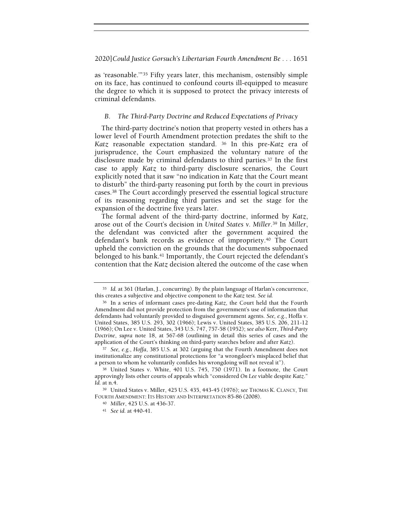as 'reasonable.'"35 Fifty years later, this mechanism, ostensibly simple on its face, has continued to confound courts ill-equipped to measure the degree to which it is supposed to protect the privacy interests of criminal defendants.

## B. The Third-Party Doctrine and Reduced Expectations of Privacy

The third-party doctrine's notion that property vested in others has a lower level of Fourth Amendment protection predates the shift to the Katz reasonable expectation standard. <sup>36</sup> In this pre-Katz era of jurisprudence, the Court emphasized the voluntary nature of the disclosure made by criminal defendants to third parties.37 In the first case to apply Katz to third-party disclosure scenarios, the Court explicitly noted that it saw "no indication in Katz that the Court meant to disturb" the third-party reasoning put forth by the court in previous cases.38 The Court accordingly preserved the essential logical structure of its reasoning regarding third parties and set the stage for the expansion of the doctrine five years later.

The formal advent of the third-party doctrine, informed by Katz, arose out of the Court's decision in United States v. Miller.<sup>39</sup> In Miller, the defendant was convicted after the government acquired the defendant's bank records as evidence of impropriety.40 The Court upheld the conviction on the grounds that the documents subpoenaed belonged to his bank.41 Importantly, the Court rejected the defendant's contention that the Katz decision altered the outcome of the case when

<sup>35</sup> Id. at 361 (Harlan, J., concurring). By the plain language of Harlan's concurrence, this creates a subjective and objective component to the Katz test. See id.

<sup>36</sup> In a series of informant cases pre-dating Katz, the Court held that the Fourth Amendment did not provide protection from the government's use of information that defendants had voluntarily provided to disguised government agents. See, e.g., Hoffa v. United States, 385 U.S. 293, 302 (1966); Lewis v. United States, 385 U.S. 206, 211-12 (1966); On Lee v. United States, 343 U.S. 747, 757-58 (1952); see also Kerr, Third-Party Doctrine, supra note 18, at 567-68 (outlining in detail this series of cases and the application of the Court's thinking on third-party searches before and after Katz).

<sup>37</sup> See, e.g., Hoffa, 385 U.S. at 302 (arguing that the Fourth Amendment does not institutionalize any constitutional protections for "a wrongdoer's misplaced belief that a person to whom he voluntarily confides his wrongdoing will not reveal it").

<sup>38</sup> United States v. White, 401 U.S. 745, 750 (1971). In a footnote, the Court approvingly lists other courts of appeals which "considered On Lee viable despite Katz." Id. at n.4.

<sup>39</sup> United States v. Miller, 425 U.S. 435, 443-45 (1976); see THOMAS K. CLANCY, THE FOURTH AMENDMENT: ITS HISTORY AND INTERPRETATION 85-86 (2008).

<sup>40</sup> Miller, 425 U.S. at 436-37.

<sup>41</sup> See id. at 440-41.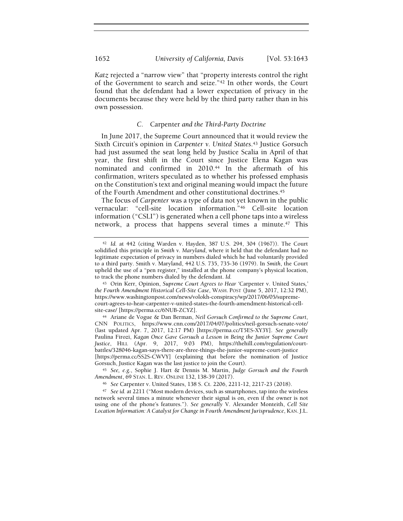Katz rejected a "narrow view" that "property interests control the right of the Government to search and seize."42 In other words, the Court found that the defendant had a lower expectation of privacy in the documents because they were held by the third party rather than in his own possession.

## C. Carpenter and the Third-Party Doctrine

In June 2017, the Supreme Court announced that it would review the Sixth Circuit's opinion in Carpenter v. United States.<sup>43</sup> Justice Gorsuch had just assumed the seat long held by Justice Scalia in April of that year, the first shift in the Court since Justice Elena Kagan was nominated and confirmed in 2010.44 In the aftermath of his confirmation, writers speculated as to whether his professed emphasis on the Constitution's text and original meaning would impact the future of the Fourth Amendment and other constitutional doctrines.<sup>45</sup>

The focus of Carpenter was a type of data not yet known in the public vernacular: "cell-site location information."46 Cell-site location information ("CSLI") is generated when a cell phone taps into a wireless network, a process that happens several times a minute.47 This

<sup>42</sup> Id. at 442 (citing Warden v. Hayden, 387 U.S. 294, 304 (1967)). The Court solidified this principle in Smith v. Maryland, where it held that the defendant had no legitimate expectation of privacy in numbers dialed which he had voluntarily provided to a third party. Smith v. Maryland, 442 U.S. 735, 735-36 (1979). In Smith, the Court upheld the use of a "pen register," installed at the phone company's physical location, to track the phone numbers dialed by the defendant. Id.

<sup>43</sup> Orin Kerr, Opinion, Supreme Court Agrees to Hear 'Carpenter v. United States,' the Fourth Amendment Historical Cell-Site Case, WASH. POST (June 5, 2017, 12:32 PM), https://www.washingtonpost.com/news/volokh-conspiracy/wp/2017/06/05/supremecourt-agrees-to-hear-carpenter-v-united-states-the-fourth-amendment-historical-cellsite-case/ [https://perma.cc/6NUB-ZCYZ].

<sup>44</sup> Ariane de Vogue & Dan Berman, Neil Gorsuch Confirmed to the Supreme Court, CNN POLITICS, https://www.cnn.com/2017/04/07/politics/neil-gorsuch-senate-vote/ (last updated Apr. 7, 2017, 12:17 PM) [https://perma.cc/T5ES-XY3Y]. See generally Paulina Firozi, Kagan Once Gave Gorsuch a Lesson in Being the Junior Supreme Court Justice, HILL (Apr. 9, 2017, 9:03 PM), https://thehill.com/regulation/courtbattles/328046-kagan-says-there-are-three-things-the-junior-supreme-court-justice [https://perma.cc/SS2S-CWVY] (explaining that before the nomination of Justice Gorsuch, Justice Kagan was the last justice to join the Court).

<sup>45</sup> See, e.g., Sophie J. Hart & Dennis M. Martin, Judge Gorsuch and the Fourth Amendment, 69 STAN. L. REV. ONLINE 132, 138-39 (2017).

<sup>46</sup> See Carpenter v. United States, 138 S. Ct. 2206, 2211-12, 2217-23 (2018).

<sup>47</sup> See id. at 2211 ("Most modern devices, such as smartphones, tap into the wireless network several times a minute whenever their signal is on, even if the owner is not using one of the phone's features."). See generally V. Alexander Monteith, Cell Site Location Information: A Catalyst for Change in Fourth Amendment Jurisprudence, KAN. J.L.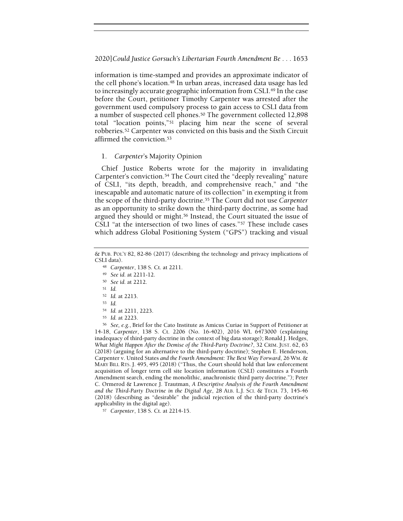information is time-stamped and provides an approximate indicator of the cell phone's location.<sup>48</sup> In urban areas, increased data usage has led to increasingly accurate geographic information from CSLI.49 In the case before the Court, petitioner Timothy Carpenter was arrested after the government used compulsory process to gain access to CSLI data from a number of suspected cell phones.50 The government collected 12,898 total "location points,"51 placing him near the scene of several robberies.52 Carpenter was convicted on this basis and the Sixth Circuit affirmed the conviction.<sup>53</sup>

## 1. Carpenter's Majority Opinion

Chief Justice Roberts wrote for the majority in invalidating Carpenter's conviction.54 The Court cited the "deeply revealing" nature of CSLI, "its depth, breadth, and comprehensive reach," and "the inescapable and automatic nature of its collection" in exempting it from the scope of the third-party doctrine.55 The Court did not use Carpenter as an opportunity to strike down the third-party doctrine, as some had argued they should or might.56 Instead, the Court situated the issue of CSLI "at the intersection of two lines of cases."57 These include cases which address Global Positioning System ("GPS") tracking and visual

- <sup>49</sup> See id. at 2211-12.
- <sup>50</sup> See id. at 2212.
- <sup>51</sup> Id.
- <sup>52</sup> Id. at 2213.
- <sup>53</sup> Id.
- <sup>54</sup> Id. at 2211, 2223.
- <sup>55</sup> Id. at 2223.

<sup>56</sup> See, e.g., Brief for the Cato Institute as Amicus Curiae in Support of Petitioner at 14-18, Carpenter, 138 S. Ct. 2206 (No. 16-402), 2016 WL 6473000 (explaining inadequacy of third-party doctrine in the context of big data storage); Ronald J. Hedges, What Might Happen After the Demise of the Third-Party Doctrine?, 32 CRIM. JUST. 62, 63 (2018) (arguing for an alternative to the third-party doctrine); Stephen E. Henderson, Carpenter v. United States and the Fourth Amendment: The Best Way Forward, 26 WM. & MARY BILL RTS. J. 495, 495 (2018) ("Thus, the Court should hold that law enforcement acquisition of longer term cell site location information (CSLI) constitutes a Fourth Amendment search, ending the monolithic, anachronistic third party doctrine."); Peter C. Ormerod & Lawrence J. Trautman, A Descriptive Analysis of the Fourth Amendment and the Third-Party Doctrine in the Digital Age, 28 ALB. L.J. SCI. & TECH. 73, 145-46 (2018) (describing as "desirable" the judicial rejection of the third-party doctrine's applicability in the digital age).

<sup>57</sup> Carpenter, 138 S. Ct. at 2214-15.

<sup>&</sup>amp; PUB. POL'Y 82, 82-86 (2017) (describing the technology and privacy implications of CSLI data).

<sup>48</sup> Carpenter, 138 S. Ct. at 2211.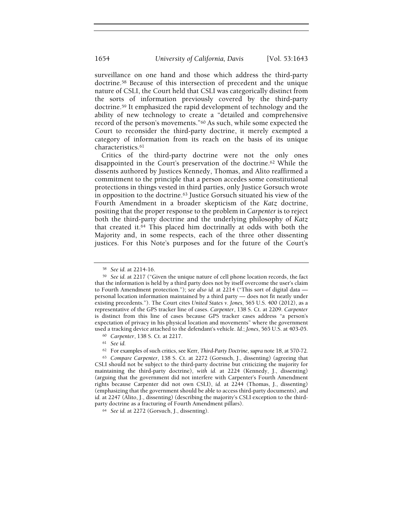surveillance on one hand and those which address the third-party doctrine.58 Because of this intersection of precedent and the unique nature of CSLI, the Court held that CSLI was categorically distinct from the sorts of information previously covered by the third-party doctrine.59 It emphasized the rapid development of technology and the ability of new technology to create a "detailed and comprehensive record of the person's movements."60 As such, while some expected the Court to reconsider the third-party doctrine, it merely exempted a category of information from its reach on the basis of its unique characteristics.<sup>61</sup>

Critics of the third-party doctrine were not the only ones disappointed in the Court's preservation of the doctrine.62 While the dissents authored by Justices Kennedy, Thomas, and Alito reaffirmed a commitment to the principle that a person accedes some constitutional protections in things vested in third parties, only Justice Gorsuch wrote in opposition to the doctrine.63 Justice Gorsuch situated his view of the Fourth Amendment in a broader skepticism of the Katz doctrine, positing that the proper response to the problem in Carpenter is to reject both the third-party doctrine and the underlying philosophy of Katz that created it.64 This placed him doctrinally at odds with both the Majority and, in some respects, each of the three other dissenting justices. For this Note's purposes and for the future of the Court's

<sup>58</sup> See id. at 2214-16.

<sup>59</sup> See id. at 2217 ("Given the unique nature of cell phone location records, the fact that the information is held by a third party does not by itself overcome the user's claim to Fourth Amendment protection."); see also id. at 2214 ("This sort of digital data personal location information maintained by a third party — does not fit neatly under existing precedents."). The Court cites United States v. Jones, 565 U.S. 400 (2012), as a representative of the GPS tracker line of cases. Carpenter, 138 S. Ct. at 2209. Carpenter is distinct from this line of cases because GPS tracker cases address "a person's expectation of privacy in his physical location and movements" where the government used a tracking device attached to the defendant's vehicle. Id.; Jones, 565 U.S. at 403-05.

<sup>60</sup> Carpenter, 138 S. Ct. at 2217.

<sup>61</sup> See id.

<sup>62</sup> For examples of such critics, see Kerr, Third-Party Doctrine, supra note 18, at 570-72.

<sup>63</sup> Compare Carpenter, 138 S. Ct. at 2272 (Gorsuch, J., dissenting) (agreeing that CSLI should not be subject to the third-party doctrine but criticizing the majority for maintaining the third-party doctrine), with id. at 2224 (Kennedy, J., dissenting) (arguing that the government did not interfere with Carpenter's Fourth Amendment rights because Carpenter did not own CSLI), id. at 2244 (Thomas, J., dissenting) (emphasizing that the government should be able to access third-party documents), and id. at 2247 (Alito, J., dissenting) (describing the majority's CSLI exception to the thirdparty doctrine as a fracturing of Fourth Amendment pillars).

<sup>64</sup> See id. at 2272 (Gorsuch, J., dissenting).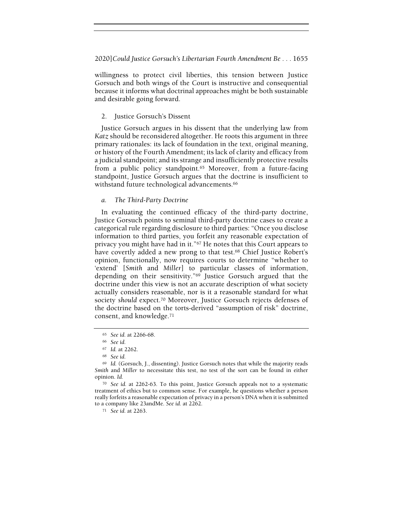willingness to protect civil liberties, this tension between Justice Gorsuch and both wings of the Court is instructive and consequential because it informs what doctrinal approaches might be both sustainable and desirable going forward.

#### 2. Justice Gorsuch's Dissent

Justice Gorsuch argues in his dissent that the underlying law from Katz should be reconsidered altogether. He roots this argument in three primary rationales: its lack of foundation in the text, original meaning, or history of the Fourth Amendment; its lack of clarity and efficacy from a judicial standpoint; and its strange and insufficiently protective results from a public policy standpoint.65 Moreover, from a future-facing standpoint, Justice Gorsuch argues that the doctrine is insufficient to withstand future technological advancements.<sup>66</sup>

## a. The Third-Party Doctrine

In evaluating the continued efficacy of the third-party doctrine, Justice Gorsuch points to seminal third-party doctrine cases to create a categorical rule regarding disclosure to third parties: "Once you disclose information to third parties, you forfeit any reasonable expectation of privacy you might have had in it."67 He notes that this Court appears to have covertly added a new prong to that test.<sup>68</sup> Chief Justice Robert's opinion, functionally, now requires courts to determine "whether to 'extend' [Smith and Miller] to particular classes of information, depending on their sensitivity."69 Justice Gorsuch argued that the doctrine under this view is not an accurate description of what society actually considers reasonable, nor is it a reasonable standard for what society should expect.<sup>70</sup> Moreover, Justice Gorsuch rejects defenses of the doctrine based on the torts-derived "assumption of risk" doctrine, consent, and knowledge.<sup>71</sup>

<sup>71</sup> See id. at 2263.

<sup>65</sup> See id. at 2266-68.

<sup>66</sup> See id.

<sup>67</sup> Id. at 2262.

<sup>68</sup> See id.

<sup>69</sup> Id. (Gorsuch, J., dissenting). Justice Gorsuch notes that while the majority reads Smith and Miller to necessitate this test, no test of the sort can be found in either opinion. Id.

<sup>70</sup> See id. at 2262-63. To this point, Justice Gorsuch appeals not to a systematic treatment of ethics but to common sense. For example, he questions whether a person really forfeits a reasonable expectation of privacy in a person's DNA when it is submitted to a company like 23andMe. See id. at 2262.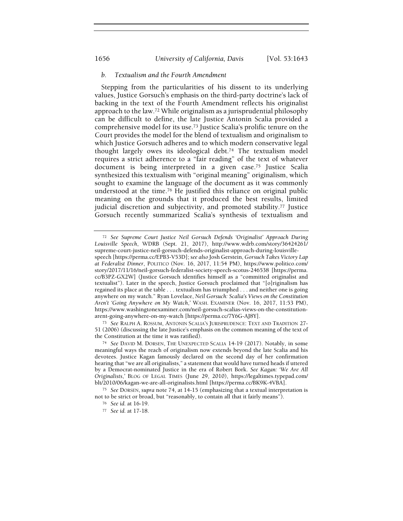#### b. Textualism and the Fourth Amendment

Stepping from the particularities of his dissent to its underlying values, Justice Gorsuch's emphasis on the third-party doctrine's lack of backing in the text of the Fourth Amendment reflects his originalist approach to the law.72 While originalism as a jurisprudential philosophy can be difficult to define, the late Justice Antonin Scalia provided a comprehensive model for its use.73 Justice Scalia's prolific tenure on the Court provides the model for the blend of textualism and originalism to which Justice Gorsuch adheres and to which modern conservative legal thought largely owes its ideological debt.74 The textualism model requires a strict adherence to a "fair reading" of the text of whatever document is being interpreted in a given case.75 Justice Scalia synthesized this textualism with "original meaning" originalism, which sought to examine the language of the document as it was commonly understood at the time.76 He justified this reliance on original public meaning on the grounds that it produced the best results, limited judicial discretion and subjectivity, and promoted stability.77 Justice Gorsuch recently summarized Scalia's synthesis of textualism and

<sup>73</sup> See RALPH A. ROSSUM, ANTONIN SCALIA'S JURISPRUDENCE: TEXT AND TRADITION 27- 51 (2006) (discussing the late Justice's emphasis on the common meaning of the text of the Constitution at the time it was ratified).

<sup>72</sup> See Supreme Court Justice Neil Gorsuch Defends 'Originalist' Approach During Louisville Speech, WDRB (Sept. 21, 2017), http://www.wdrb.com/story/36424261/ supreme-court-justice-neil-gorsuch-defends-originalist-approach-during-louisvillespeech [https://perma.cc/EPB3-V53D]; see also Josh Gerstein, Gorsuch Takes Victory Lap at Federalist Dinner, POLITICO (Nov. 16, 2017, 11:54 PM), https://www.politico.com/ story/2017/11/16/neil-gorsuch-federalist-society-speech-scotus-246538 [https://perma. cc/B3PZ-GX2W] (Justice Gorsuch identifies himself as a "committed originalist and textualist"). Later in the speech, Justice Gorsuch proclaimed that "[o]riginalism has regained its place at the table . . . textualism has triumphed . . . and neither one is going anywhere on my watch." Ryan Lovelace, Neil Gorsuch: Scalia's Views on the Constitution Aren't 'Going Anywhere on My Watch,' WASH. EXAMINER (Nov. 16, 2017, 11:53 PM), https://www.washingtonexaminer.com/neil-gorsuch-scalias-views-on-the-constitutionarent-going-anywhere-on-my-watch [https://perma.cc/7Y6G-AJ8Y].

<sup>74</sup> See DAVID M. DORSEN, THE UNEXPECTED SCALIA 14-19 (2017). Notably, in some meaningful ways the reach of originalism now extends beyond the late Scalia and his devotees. Justice Kagan famously declared on the second day of her confirmation hearing that "we are all originalists," a statement that would have turned heads if uttered by a Democrat-nominated Justice in the era of Robert Bork. See Kagan: 'We Are All Originalists,' BLOG OF LEGAL TIMES (June 29, 2010), https://legaltimes.typepad.com/ blt/2010/06/kagan-we-are-all-originalists.html [https://perma.cc/BK9K-4VBA].

<sup>75</sup> See DORSEN, supra note 74, at 14-15 (emphasizing that a textual interpretation is not to be strict or broad, but "reasonably, to contain all that it fairly means").

<sup>76</sup> See id. at 16-19.

<sup>77</sup> See id. at 17-18.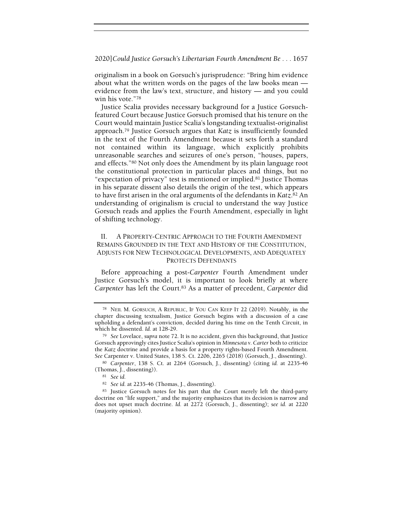originalism in a book on Gorsuch's jurisprudence: "Bring him evidence about what the written words on the pages of the law books mean evidence from the law's text, structure, and history — and you could win his vote."<sup>78</sup>

Justice Scalia provides necessary background for a Justice Gorsuchfeatured Court because Justice Gorsuch promised that his tenure on the Court would maintain Justice Scalia's longstanding textualist-originalist approach.79 Justice Gorsuch argues that Katz is insufficiently founded in the text of the Fourth Amendment because it sets forth a standard not contained within its language, which explicitly prohibits unreasonable searches and seizures of one's person, "houses, papers, and effects."80 Not only does the Amendment by its plain language root the constitutional protection in particular places and things, but no "expectation of privacy" test is mentioned or implied.81 Justice Thomas in his separate dissent also details the origin of the test, which appears to have first arisen in the oral arguments of the defendants in  $Katz$ .<sup>82</sup> An understanding of originalism is crucial to understand the way Justice Gorsuch reads and applies the Fourth Amendment, especially in light of shifting technology.

## II. A PROPERTY-CENTRIC APPROACH TO THE FOURTH AMENDMENT REMAINS GROUNDED IN THE TEXT AND HISTORY OF THE CONSTITUTION, ADJUSTS FOR NEW TECHNOLOGICAL DEVELOPMENTS, AND ADEQUATELY PROTECTS DEFENDANTS

Before approaching a post-Carpenter Fourth Amendment under Justice Gorsuch's model, it is important to look briefly at where Carpenter has left the Court.<sup>83</sup> As a matter of precedent, Carpenter did

<sup>78</sup> NEIL M. GORSUCH, A REPUBLIC, IF YOU CAN KEEP IT 22 (2019). Notably, in the chapter discussing textualism, Justice Gorsuch begins with a discussion of a case upholding a defendant's conviction, decided during his time on the Tenth Circuit, in which he dissented. Id. at 128-29.

<sup>79</sup> See Lovelace, supra note 72. It is no accident, given this background, that Justice Gorsuch approvingly cites Justice Scalia's opinion in Minnesota v. Carter both to criticize the Katz doctrine and provide a basis for a property rights-based Fourth Amendment. See Carpenter v. United States, 138 S. Ct. 2206, 2265 (2018) (Gorsuch, J., dissenting).

<sup>80</sup> Carpenter, 138 S. Ct. at 2264 (Gorsuch, J., dissenting) (citing id. at 2235-46 (Thomas, J., dissenting)).

<sup>81</sup> See id.

<sup>82</sup> See id. at 2235-46 (Thomas, J., dissenting).

<sup>83</sup> Justice Gorsuch notes for his part that the Court merely left the third-party doctrine on "life support," and the majority emphasizes that its decision is narrow and does not upset much doctrine. Id. at 2272 (Gorsuch, J., dissenting); see id. at 2220 (majority opinion).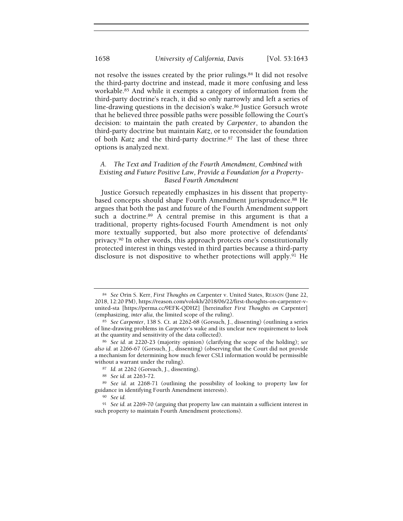not resolve the issues created by the prior rulings.84 It did not resolve the third-party doctrine and instead, made it more confusing and less workable.85 And while it exempts a category of information from the third-party doctrine's reach, it did so only narrowly and left a series of line-drawing questions in the decision's wake.86 Justice Gorsuch wrote that he believed three possible paths were possible following the Court's decision: to maintain the path created by Carpenter, to abandon the third-party doctrine but maintain Katz, or to reconsider the foundation of both Katz and the third-party doctrine.<sup>87</sup> The last of these three options is analyzed next.

## A. The Text and Tradition of the Fourth Amendment, Combined with Existing and Future Positive Law, Provide a Foundation for a Property-Based Fourth Amendment

Justice Gorsuch repeatedly emphasizes in his dissent that propertybased concepts should shape Fourth Amendment jurisprudence.88 He argues that both the past and future of the Fourth Amendment support such a doctrine.<sup>89</sup> A central premise in this argument is that a traditional, property rights-focused Fourth Amendment is not only more textually supported, but also more protective of defendants' privacy.90 In other words, this approach protects one's constitutionally protected interest in things vested in third parties because a third-party disclosure is not dispositive to whether protections will apply.91 He

- 87 Id. at 2262 (Gorsuch, J., dissenting).
- <sup>88</sup> See id. at 2263-72.
- <sup>89</sup> See id. at 2268-71 (outlining the possibility of looking to property law for guidance in identifying Fourth Amendment interests).
	- <sup>90</sup> See id.

<sup>84</sup> See Orin S. Kerr, First Thoughts on Carpenter v. United States, REASON (June 22, 2018, 12:20 PM), https://reason.com/volokh/2018/06/22/first-thoughts-on-carpenter-vunited-sta [https://perma.cc/9EFK-QDHZ] [hereinafter First Thoughts on Carpenter] (emphasizing, inter alia, the limited scope of the ruling).

<sup>85</sup> See Carpenter, 138 S. Ct. at 2262-68 (Gorsuch, J., dissenting) (outlining a series of line-drawing problems in Carpenter's wake and its unclear new requirement to look at the quantity and sensitivity of the data collected).

<sup>86</sup> See id. at 2220-23 (majority opinion) (clarifying the scope of the holding); see also id. at 2266-67 (Gorsuch, J., dissenting) (observing that the Court did not provide a mechanism for determining how much fewer CSLI information would be permissible without a warrant under the ruling).

<sup>91</sup> See id. at 2269-70 (arguing that property law can maintain a sufficient interest in such property to maintain Fourth Amendment protections).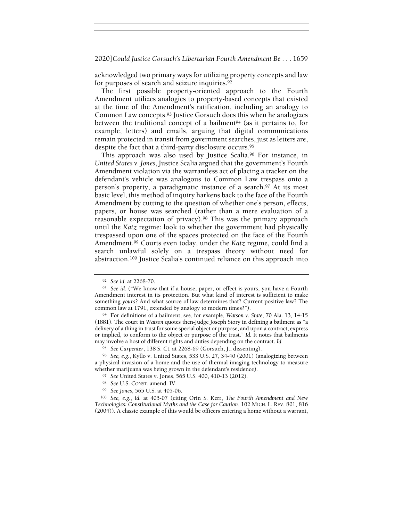acknowledged two primary ways for utilizing property concepts and law for purposes of search and seizure inquiries.<sup>92</sup>

The first possible property-oriented approach to the Fourth Amendment utilizes analogies to property-based concepts that existed at the time of the Amendment's ratification, including an analogy to Common Law concepts.93 Justice Gorsuch does this when he analogizes between the traditional concept of a bailment<sup>94</sup> (as it pertains to, for example, letters) and emails, arguing that digital communications remain protected in transit from government searches, just as letters are, despite the fact that a third-party disclosure occurs.<sup>95</sup>

This approach was also used by Justice Scalia.96 For instance, in United States v. Jones, Justice Scalia argued that the government's Fourth Amendment violation via the warrantless act of placing a tracker on the defendant's vehicle was analogous to Common Law trespass onto a person's property, a paradigmatic instance of a search.<sup>97</sup> At its most basic level, this method of inquiry harkens back to the face of the Fourth Amendment by cutting to the question of whether one's person, effects, papers, or house was searched (rather than a mere evaluation of a reasonable expectation of privacy).98 This was the primary approach until the Katz regime: look to whether the government had physically trespassed upon one of the spaces protected on the face of the Fourth Amendment.<sup>99</sup> Courts even today, under the Katz regime, could find a search unlawful solely on a trespass theory without need for abstraction.100 Justice Scalia's continued reliance on this approach into

<sup>92</sup> See id. at 2268-70.

<sup>93</sup> See id. ("We know that if a house, paper, or effect is yours, you have a Fourth Amendment interest in its protection. But what kind of interest is sufficient to make something yours? And what source of law determines that? Current positive law? The common law at 1791, extended by analogy to modern times?").

<sup>94</sup> For definitions of a bailment, see, for example, Watson v. State, 70 Ala. 13, 14-15 (1881). The court in Watson quotes then-Judge Joseph Story in defining a bailment as "a delivery of a thing in trust for some special object or purpose, and upon a contract, express or implied, to conform to the object or purpose of the trust." Id. It notes that bailments may involve a host of different rights and duties depending on the contract. Id.

<sup>95</sup> See Carpenter, 138 S. Ct. at 2268-69 (Gorsuch, J., dissenting).

<sup>96</sup> See, e.g., Kyllo v. United States, 533 U.S. 27, 34-40 (2001) (analogizing between a physical invasion of a home and the use of thermal imaging technology to measure whether marijuana was being grown in the defendant's residence).

<sup>97</sup> See United States v. Jones, 565 U.S. 400, 410-13 (2012).

<sup>98</sup> See U.S. CONST. amend. IV.

<sup>99</sup> See Jones, 565 U.S. at 405-06.

<sup>100</sup> See, e.g., id. at 405-07 (citing Orin S. Kerr, The Fourth Amendment and New Technologies: Constitutional Myths and the Case for Caution, 102 MICH. L. REV. 801, 816 (2004)). A classic example of this would be officers entering a home without a warrant,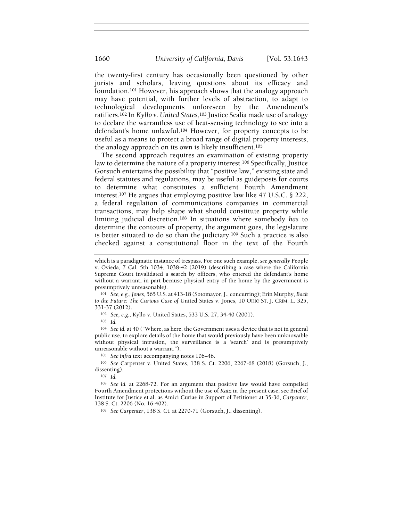the twenty-first century has occasionally been questioned by other jurists and scholars, leaving questions about its efficacy and foundation.101 However, his approach shows that the analogy approach may have potential, with further levels of abstraction, to adapt to technological developments unforeseen by the Amendment's ratifiers.102 In Kyllo v. United States,103 Justice Scalia made use of analogy to declare the warrantless use of heat-sensing technology to see into a defendant's home unlawful.104 However, for property concepts to be useful as a means to protect a broad range of digital property interests, the analogy approach on its own is likely insufficient.<sup>105</sup>

The second approach requires an examination of existing property law to determine the nature of a property interest.106 Specifically, Justice Gorsuch entertains the possibility that "positive law," existing state and federal statutes and regulations, may be useful as guideposts for courts to determine what constitutes a sufficient Fourth Amendment interest.107 He argues that employing positive law like 47 U.S.C. § 222, a federal regulation of communications companies in commercial transactions, may help shape what should constitute property while limiting judicial discretion.108 In situations where somebody has to determine the contours of property, the argument goes, the legislature is better situated to do so than the judiciary.109 Such a practice is also checked against a constitutional floor in the text of the Fourth

<sup>102</sup> See, e.g., Kyllo v. United States, 533 U.S. 27, 34-40 (2001).

<sup>103</sup> Id.

<sup>104</sup> See id. at 40 ("Where, as here, the Government uses a device that is not in general public use, to explore details of the home that would previously have been unknowable without physical intrusion, the surveillance is a 'search' and is presumptively unreasonable without a warrant.").

<sup>105</sup> See infra text accompanying notes 106–46.

<sup>106</sup> See Carpenter v. United States, 138 S. Ct. 2206, 2267-68 (2018) (Gorsuch, J., dissenting).

<sup>107</sup> Id.

<sup>109</sup> See Carpenter, 138 S. Ct. at 2270-71 (Gorsuch, J., dissenting).

which is a paradigmatic instance of trespass. For one such example, see generally People v. Ovieda, 7 Cal. 5th 1034, 1038-42 (2019) (describing a case where the California Supreme Court invalidated a search by officers, who entered the defendant's home without a warrant, in part because physical entry of the home by the government is presumptively unreasonable).

<sup>101</sup> See, e.g., Jones, 565 U.S. at 413-18 (Sotomayor, J., concurring); Erin Murphy, Back to the Future: The Curious Case of United States v. Jones, 10 OHIO ST. J. CRIM. L. 325, 331-37 (2012).

<sup>108</sup> See id. at 2268-72. For an argument that positive law would have compelled Fourth Amendment protections without the use of Katz in the present case, see Brief of Institute for Justice et al. as Amici Curiae in Support of Petitioner at 35-36, Carpenter, 138 S. Ct. 2206 (No. 16-402).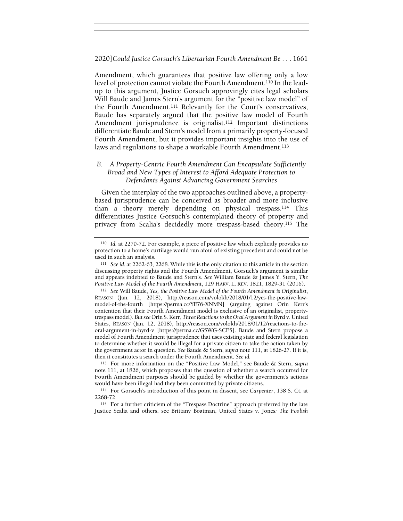Amendment, which guarantees that positive law offering only a low level of protection cannot violate the Fourth Amendment.110 In the leadup to this argument, Justice Gorsuch approvingly cites legal scholars Will Baude and James Stern's argument for the "positive law model" of the Fourth Amendment.111 Relevantly for the Court's conservatives, Baude has separately argued that the positive law model of Fourth Amendment jurisprudence is originalist.<sup>112</sup> Important distinctions differentiate Baude and Stern's model from a primarily property-focused Fourth Amendment, but it provides important insights into the use of laws and regulations to shape a workable Fourth Amendment.<sup>113</sup>

## B. A Property-Centric Fourth Amendment Can Encapsulate Sufficiently Broad and New Types of Interest to Afford Adequate Protection to Defendants Against Advancing Government Searches

Given the interplay of the two approaches outlined above, a propertybased jurisprudence can be conceived as broader and more inclusive than a theory merely depending on physical trespass.114 This differentiates Justice Gorsuch's contemplated theory of property and privacy from Scalia's decidedly more trespass-based theory.115 The

<sup>110</sup> Id. at 2270-72. For example, a piece of positive law which explicitly provides no protection to a home's curtilage would run afoul of existing precedent and could not be used in such an analysis.

<sup>111</sup> See id. at 2262-63, 2268. While this is the only citation to this article in the section discussing property rights and the Fourth Amendment, Gorsuch's argument is similar and appears indebted to Baude and Stern's. See William Baude & James Y. Stern, The Positive Law Model of the Fourth Amendment, 129 HARV. L. REV. 1821, 1829-31 (2016).

<sup>112</sup> See Will Baude, Yes, the Positive Law Model of the Fourth Amendment is Originalist, REASON (Jan. 12, 2018), http://reason.com/volokh/2018/01/12/yes-the-positive-lawmodel-of-the-fourth [https://perma.cc/YE76-XNMN] (arguing against Orin Kerr's contention that their Fourth Amendment model is exclusive of an originalist, propertytrespass model). But see Orin S. Kerr, Three Reactions to the Oral Argument in Byrd v. United States, REASON (Jan. 12, 2018), http://reason.com/volokh/2018/01/12/reactions-to-theoral-argument-in-byrd-v [https://perma.cc/G5WG-SCF5]. Baude and Stern propose a model of Fourth Amendment jurisprudence that uses existing state and federal legislation to determine whether it would be illegal for a private citizen to take the action taken by the government actor in question. See Baude & Stern, supra note 111, at 1826-27. If it is, then it constitutes a search under the Fourth Amendment. See id.

<sup>113</sup> For more information on the "Positive Law Model," see Baude & Stern, supra note 111, at 1826, which proposes that the question of whether a search occurred for Fourth Amendment purposes should be guided by whether the government's actions would have been illegal had they been committed by private citizens.

<sup>114</sup> For Gorsuch's introduction of this point in dissent, see Carpenter, 138 S. Ct. at 2268-72.

<sup>115</sup> For a further criticism of the "Trespass Doctrine" approach preferred by the late Justice Scalia and others, see Brittany Boatman, United States v. Jones: The Foolish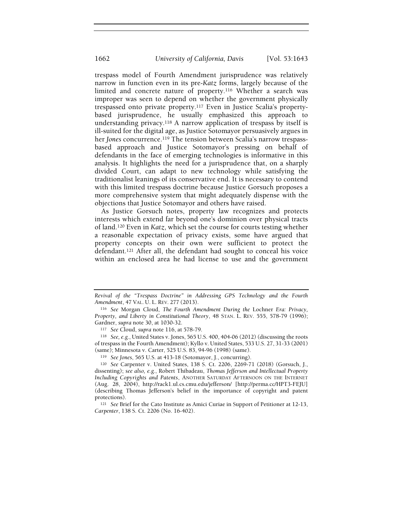trespass model of Fourth Amendment jurisprudence was relatively narrow in function even in its pre-Katz forms, largely because of the limited and concrete nature of property.116 Whether a search was improper was seen to depend on whether the government physically trespassed onto private property.117 Even in Justice Scalia's propertybased jurisprudence, he usually emphasized this approach to understanding privacy.118 A narrow application of trespass by itself is ill-suited for the digital age, as Justice Sotomayor persuasively argues in her Jones concurrence.<sup>119</sup> The tension between Scalia's narrow trespassbased approach and Justice Sotomayor's pressing on behalf of defendants in the face of emerging technologies is informative in this analysis. It highlights the need for a jurisprudence that, on a sharply divided Court, can adapt to new technology while satisfying the traditionalist leanings of its conservative end. It is necessary to contend with this limited trespass doctrine because Justice Gorsuch proposes a more comprehensive system that might adequately dispense with the objections that Justice Sotomayor and others have raised.

As Justice Gorsuch notes, property law recognizes and protects interests which extend far beyond one's dominion over physical tracts of land.120 Even in Katz, which set the course for courts testing whether a reasonable expectation of privacy exists, some have argued that property concepts on their own were sufficient to protect the defendant.<sup>121</sup> After all, the defendant had sought to conceal his voice within an enclosed area he had license to use and the government

Revival of the "Trespass Doctrine" in Addressing GPS Technology and the Fourth Amendment, 47 VAL. U. L. REV. 277 (2013).

<sup>116</sup> See Morgan Cloud, The Fourth Amendment During the Lochner Era: Privacy, Property, and Liberty in Constitutional Theory, 48 STAN. L. REV. 555, 578-79 (1996); Gardner, supra note 30, at 1030-32.

<sup>117</sup> See Cloud, supra note 116, at 578-79.

<sup>118</sup> See, e.g., United States v. Jones, 565 U.S. 400, 404-06 (2012) (discussing the roots of trespass in the Fourth Amendment); Kyllo v. United States, 533 U.S. 27, 31-33 (2001) (same); Minnesota v. Carter, 525 U.S. 83, 94-96 (1998) (same).

<sup>119</sup> See Jones, 565 U.S. at 413-18 (Sotomayor, J., concurring).

<sup>120</sup> See Carpenter v. United States, 138 S. Ct. 2206, 2269-71 (2018) (Gorsuch, J., dissenting); see also, e.g., Robert Thibadeau, Thomas Jefferson and Intellectual Property Including Copyrights and Patents, ANOTHER SATURDAY AFTERNOON ON THE INTERNET (Aug. 28, 2004), http://rack1.ul.cs.cmu.edu/jefferson/ [http://perma.cc/HPT3-FEJU] (describing Thomas Jefferson's belief in the importance of copyright and patent protections).

<sup>&</sup>lt;sup>121</sup> See Brief for the Cato Institute as Amici Curiae in Support of Petitioner at 12-13, Carpenter, 138 S. Ct. 2206 (No. 16-402).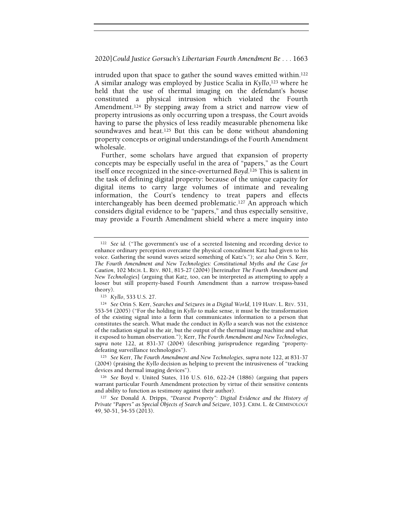intruded upon that space to gather the sound waves emitted within.<sup>122</sup> A similar analogy was employed by Justice Scalia in Kyllo,<sup>123</sup> where he held that the use of thermal imaging on the defendant's house constituted a physical intrusion which violated the Fourth Amendment.<sup>124</sup> By stepping away from a strict and narrow view of property intrusions as only occurring upon a trespass, the Court avoids having to parse the physics of less readily measurable phenomena like soundwaves and heat.<sup>125</sup> But this can be done without abandoning property concepts or original understandings of the Fourth Amendment wholesale.

Further, some scholars have argued that expansion of property concepts may be especially useful in the area of "papers," as the Court itself once recognized in the since-overturned Boyd.126 This is salient in the task of defining digital property: because of the unique capacity for digital items to carry large volumes of intimate and revealing information, the Court's tendency to treat papers and effects interchangeably has been deemed problematic.127 An approach which considers digital evidence to be "papers," and thus especially sensitive, may provide a Fourth Amendment shield where a mere inquiry into

<sup>122</sup> See id. ("The government's use of a secreted listening and recording device to enhance ordinary perception overcame the physical concealment Katz had given to his voice. Gathering the sound waves seized something of Katz's."); see also Orin S. Kerr, The Fourth Amendment and New Technologies: Constitutional Myths and the Case for Caution, 102 MICH. L. REV. 801, 815-27 (2004) [hereinafter The Fourth Amendment and New Technologies] (arguing that Katz, too, can be interpreted as attempting to apply a looser but still property-based Fourth Amendment than a narrow trespass-based theory).

<sup>123</sup> Kyllo, 533 U.S. 27.

<sup>124</sup> See Orin S. Kerr, Searches and Seizures in a Digital World, 119 HARV. L. REV. 531, 553-54 (2005) ("For the holding in Kyllo to make sense, it must be the transformation of the existing signal into a form that communicates information to a person that constitutes the search. What made the conduct in Kyllo a search was not the existence of the radiation signal in the air, but the output of the thermal image machine and what it exposed to human observation."); Kerr, The Fourth Amendment and New Technologies, supra note 122, at 831-37 (2004) (describing jurisprudence regarding "propertydefeating surveillance technologies").

<sup>&</sup>lt;sup>125</sup> See Kerr, The Fourth Amendment and New Technologies, supra note 122, at 831-37 (2004) (praising the Kyllo decision as helping to prevent the intrusiveness of "tracking devices and thermal imaging devices").

<sup>126</sup> See Boyd v. United States, 116 U.S. 616, 622-24 (1886) (arguing that papers warrant particular Fourth Amendment protection by virtue of their sensitive contents and ability to function as testimony against their author).

<sup>127</sup> See Donald A. Dripps, "Dearest Property": Digital Evidence and the History of Private "Papers" as Special Objects of Search and Seizure, 103 J. CRIM. L. & CRIMINOLOGY 49, 50-51, 54-55 (2013).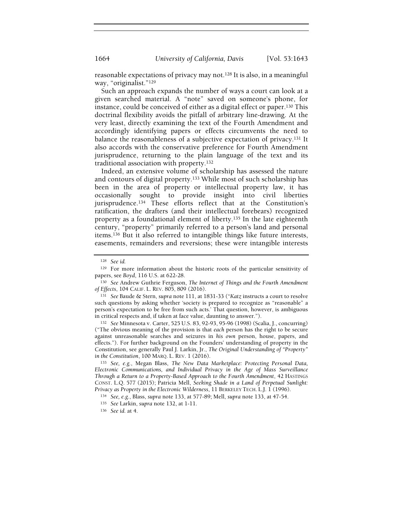reasonable expectations of privacy may not.128 It is also, in a meaningful way, "originalist."<sup>129</sup>

Such an approach expands the number of ways a court can look at a given searched material. A "note" saved on someone's phone, for instance, could be conceived of either as a digital effect or paper.130 This doctrinal flexibility avoids the pitfall of arbitrary line-drawing. At the very least, directly examining the text of the Fourth Amendment and accordingly identifying papers or effects circumvents the need to balance the reasonableness of a subjective expectation of privacy.131 It also accords with the conservative preference for Fourth Amendment jurisprudence, returning to the plain language of the text and its traditional association with property.<sup>132</sup>

Indeed, an extensive volume of scholarship has assessed the nature and contours of digital property.133 While most of such scholarship has been in the area of property or intellectual property law, it has occasionally sought to provide insight into civil liberties jurisprudence.134 These efforts reflect that at the Constitution's ratification, the drafters (and their intellectual forebears) recognized property as a foundational element of liberty.135 In the late eighteenth century, "property" primarily referred to a person's land and personal items.136 But it also referred to intangible things like future interests, easements, remainders and reversions; these were intangible interests

<sup>132</sup> See Minnesota v. Carter, 525 U.S. 83, 92-93, 95-96 (1998) (Scalia, J., concurring) ("The obvious meaning of the provision is that each person has the right to be secure against unreasonable searches and seizures in his own person, house, papers, and effects."). For further background on the Founders' understanding of property in the Constitution, see generally Paul J. Larkin, Jr., The Original Understanding of "Property" in the Constitution, 100 MARQ. L. REV. 1 (2016).

<sup>133</sup> See, e.g., Megan Blass, The New Data Marketplace: Protecting Personal Data, Electronic Communications, and Individual Privacy in the Age of Mass Surveillance Through a Return to a Property-Based Approach to the Fourth Amendment, 42 HASTINGS CONST. L.Q. 577 (2015); Patricia Mell, Seeking Shade in a Land of Perpetual Sunlight: Privacy as Property in the Electronic Wilderness, 11 BERKELEY TECH. L.J. 1 (1996).

<sup>134</sup> See, e.g., Blass, supra note 133, at 577-89; Mell, supra note 133, at 47-54.

<sup>128</sup> See id.

<sup>129</sup> For more information about the historic roots of the particular sensitivity of papers, see Boyd, 116 U.S. at 622-28.

<sup>130</sup> See Andrew Guthrie Ferguson, The Internet of Things and the Fourth Amendment of Effects, 104 CALIF. L. REV. 805, 809 (2016).

<sup>131</sup> See Baude & Stern, supra note 111, at 1831-33 ("Katz instructs a court to resolve such questions by asking whether 'society is prepared to recognize as "reasonable" a person's expectation to be free from such acts.' That question, however, is ambiguous in critical respects and, if taken at face value, daunting to answer.").

<sup>135</sup> See Larkin, supra note 132, at 1-11.

<sup>136</sup> See id. at 4.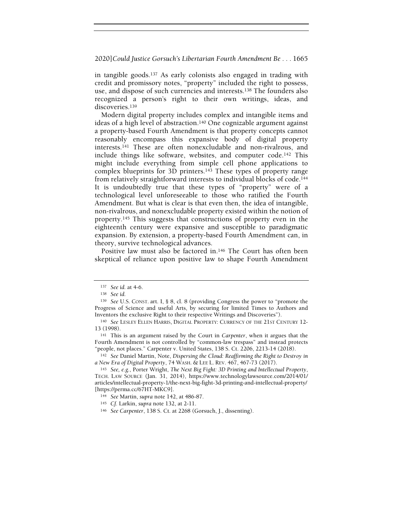in tangible goods.137 As early colonists also engaged in trading with credit and promissory notes, "property" included the right to possess, use, and dispose of such currencies and interests.138 The founders also recognized a person's right to their own writings, ideas, and discoveries.<sup>139</sup>

Modern digital property includes complex and intangible items and ideas of a high level of abstraction.140 One cognizable argument against a property-based Fourth Amendment is that property concepts cannot reasonably encompass this expansive body of digital property interests.141 These are often nonexcludable and non-rivalrous, and include things like software, websites, and computer code.142 This might include everything from simple cell phone applications to complex blueprints for 3D printers.143 These types of property range from relatively straightforward interests to individual blocks of code.<sup>144</sup> It is undoubtedly true that these types of "property" were of a technological level unforeseeable to those who ratified the Fourth Amendment. But what is clear is that even then, the idea of intangible, non-rivalrous, and nonexcludable property existed within the notion of property.145 This suggests that constructions of property even in the eighteenth century were expansive and susceptible to paradigmatic expansion. By extension, a property-based Fourth Amendment can, in theory, survive technological advances.

Positive law must also be factored in.<sup>146</sup> The Court has often been skeptical of reliance upon positive law to shape Fourth Amendment

 $142$  See Daniel Martin, Note, Dispersing the Cloud: Reaffirming the Right to Destroy in a New Era of Digital Property, 74 WASH. & LEE L. REV. 467, 467-73 (2017).

<sup>137</sup> See id. at 4-6.

<sup>138</sup> See id.

<sup>139</sup> See U.S. CONST. art. I, § 8, cl. 8 (providing Congress the power to "promote the Progress of Science and useful Arts, by securing for limited Times to Authors and Inventors the exclusive Right to their respective Writings and Discoveries").

<sup>140</sup> See LESLEY ELLEN HARRIS, DIGITAL PROPERTY: CURRENCY OF THE 21ST CENTURY 12-13 (1998).

<sup>141</sup> This is an argument raised by the Court in Carpenter, when it argues that the Fourth Amendment is not controlled by "common-law trespass" and instead protects "people, not places." Carpenter v. United States, 138 S. Ct. 2206, 2213-14 (2018).

<sup>&</sup>lt;sup>143</sup> See, e.g., Porter Wright, The Next Big Fight: 3D Printing and Intellectual Property, TECH. LAW SOURCE (Jan. 31, 2014), https://www.technologylawsource.com/2014/01/ articles/intellectual-property-1/the-next-big-fight-3d-printing-and-intellectual-property/ [https://perma.cc/67HT-MKC9].

<sup>144</sup> See Martin, supra note 142, at 486-87.

<sup>145</sup> Cf. Larkin, supra note 132, at 2-11.

<sup>146</sup> See Carpenter, 138 S. Ct. at 2268 (Gorsuch, J., dissenting).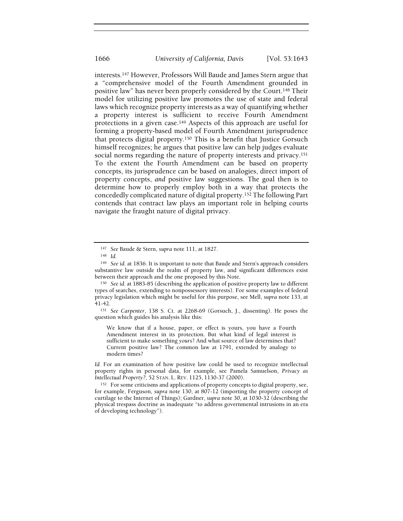interests.147 However, Professors Will Baude and James Stern argue that a "comprehensive model of the Fourth Amendment grounded in positive law" has never been properly considered by the Court.148 Their model for utilizing positive law promotes the use of state and federal laws which recognize property interests as a way of quantifying whether a property interest is sufficient to receive Fourth Amendment protections in a given case.149 Aspects of this approach are useful for forming a property-based model of Fourth Amendment jurisprudence that protects digital property.150 This is a benefit that Justice Gorsuch himself recognizes; he argues that positive law can help judges evaluate social norms regarding the nature of property interests and privacy.<sup>151</sup> To the extent the Fourth Amendment can be based on property concepts, its jurisprudence can be based on analogies, direct import of property concepts, and positive law suggestions. The goal then is to determine how to properly employ both in a way that protects the concededly complicated nature of digital property.152 The following Part contends that contract law plays an important role in helping courts navigate the fraught nature of digital privacy.

<sup>147</sup> See Baude & Stern, supra note 111, at 1827.

<sup>148</sup> Id.

<sup>149</sup> See id. at 1836. It is important to note that Baude and Stern's approach considers substantive law outside the realm of property law, and significant differences exist between their approach and the one proposed by this Note.

<sup>150</sup> See id. at 1883-85 (describing the application of positive property law to different types of searches, extending to nonpossessory interests). For some examples of federal privacy legislation which might be useful for this purpose, see Mell, supra note 133, at 41-42.

<sup>151</sup> See Carpenter, 138 S. Ct. at 2268-69 (Gorsuch, J., dissenting). He poses the question which guides his analysis like this:

We know that if a house, paper, or effect is yours, you have a Fourth Amendment interest in its protection. But what kind of legal interest is sufficient to make something yours? And what source of law determines that? Current positive law? The common law at 1791, extended by analogy to modern times?

Id. For an examination of how positive law could be used to recognize intellectual property rights in personal data, for example, see Pamela Samuelson, Privacy as Intellectual Property?, 52 STAN. L. REV. 1125, 1130-37 (2000).

<sup>&</sup>lt;sup>152</sup> For some criticisms and applications of property concepts to digital property, see, for example, Ferguson, supra note 130, at 807-12 (importing the property concept of curtilage to the Internet of Things); Gardner, supra note 30, at 1030-32 (describing the physical trespass doctrine as inadequate "to address governmental intrusions in an era of developing technology").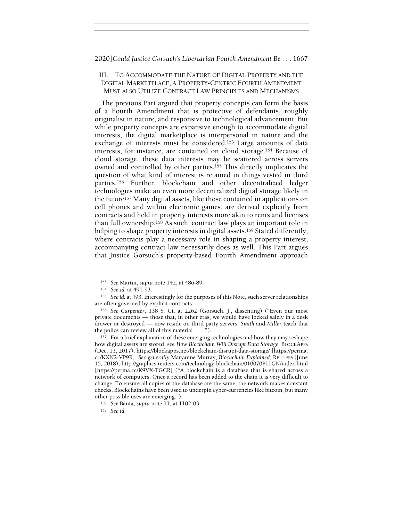## III. TO ACCOMMODATE THE NATURE OF DIGITAL PROPERTY AND THE DIGITAL MARKETPLACE, A PROPERTY-CENTRIC FOURTH AMENDMENT MUST ALSO UTILIZE CONTRACT LAW PRINCIPLES AND MECHANISMS

The previous Part argued that property concepts can form the basis of a Fourth Amendment that is protective of defendants, roughly originalist in nature, and responsive to technological advancement. But while property concepts are expansive enough to accommodate digital interests, the digital marketplace is interpersonal in nature and the exchange of interests must be considered.153 Large amounts of data interests, for instance, are contained on cloud storage.154 Because of cloud storage, these data interests may be scattered across servers owned and controlled by other parties.155 This directly implicates the question of what kind of interest is retained in things vested in third parties.156 Further, blockchain and other decentralized ledger technologies make an even more decentralized digital storage likely in the future157 Many digital assets, like those contained in applications on cell phones and within electronic games, are derived explicitly from contracts and held in property interests more akin to rents and licenses than full ownership.158 As such, contract law plays an important role in helping to shape property interests in digital assets.<sup>159</sup> Stated differently, where contracts play a necessary role in shaping a property interest, accompanying contract law necessarily does as well. This Part argues that Justice Gorsuch's property-based Fourth Amendment approach

<sup>153</sup> See Martin, supra note 142, at 486-89.

<sup>154</sup> See id. at 491-93.

<sup>&</sup>lt;sup>155</sup> See id. at 493. Interestingly for the purposes of this Note, such server relationships are often governed by explicit contracts.

<sup>156</sup> See Carpenter, 138 S. Ct. at 2262 (Gorsuch, J., dissenting) ("Even our most private documents — those that, in other eras, we would have locked safely in a desk drawer or destroyed — now reside on third party servers. Smith and Miller teach that the police can review all of this material . . . .").

<sup>&</sup>lt;sup>157</sup> For a brief explanation of these emerging technologies and how they may reshape how digital assets are stored, see How Blockchain Will Disrupt Data Storage, BLOCKAPPS (Dec. 13, 2017), https://blockapps.net/blockchain-disrupt-data-storage/ [https://perma. cc/KXN2-VP9R]. See generally Maryanne Murray, Blockchain Explained, REUTERS (June 15, 2018), http://graphics.reuters.com/technology-blockchain/010070P11GN/index.html [https://perma.cc/K9VX-TGCR] ("A blockchain is a database that is shared across a network of computers. Once a record has been added to the chain it is very difficult to change. To ensure all copies of the database are the same, the network makes constant checks. Blockchains have been used to underpin cyber-currencies like bitcoin, but many other possible uses are emerging.").

<sup>158</sup> See Banta, supra note 11, at 1102-03.

<sup>159</sup> See id.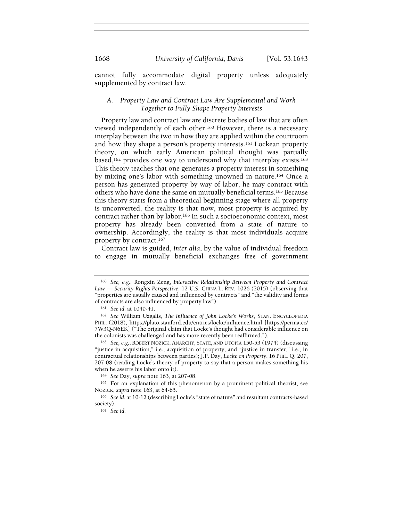cannot fully accommodate digital property unless adequately supplemented by contract law.

## A. Property Law and Contract Law Are Supplemental and Work Together to Fully Shape Property Interests

Property law and contract law are discrete bodies of law that are often viewed independently of each other.160 However, there is a necessary interplay between the two in how they are applied within the courtroom and how they shape a person's property interests.161 Lockean property theory, on which early American political thought was partially based,<sup>162</sup> provides one way to understand why that interplay exists.<sup>163</sup> This theory teaches that one generates a property interest in something by mixing one's labor with something unowned in nature.164 Once a person has generated property by way of labor, he may contract with others who have done the same on mutually beneficial terms.165 Because this theory starts from a theoretical beginning stage where all property is unconverted, the reality is that now, most property is acquired by contract rather than by labor.166 In such a socioeconomic context, most property has already been converted from a state of nature to ownership. Accordingly, the reality is that most individuals acquire property by contract.<sup>167</sup>

Contract law is guided, inter alia, by the value of individual freedom to engage in mutually beneficial exchanges free of government

<sup>160</sup> See, e.g., Rongxin Zeng, Interactive Relationship Between Property and Contract Law — Security Rights Perspective, 12 U.S.-CHINA L. REV. 1026 (2015) (observing that "properties are usually caused and influenced by contracts" and "the validity and forms of contracts are also influenced by property law").

<sup>161</sup> See id. at 1040-41.

<sup>162</sup> See William Uzgalis, The Influence of John Locke's Works, STAN. ENCYCLOPEDIA PHIL. (2018), https://plato.stanford.edu/entries/locke/influence.html [https://perma.cc/ 7W3Q-N6EK] ("The original claim that Locke's thought had considerable influence on the colonists was challenged and has more recently been reaffirmed.").

<sup>163</sup> See, e.g., ROBERT NOZICK, ANARCHY, STATE, AND UTOPIA 150-53 (1974) (discussing "justice in acquisition," i.e., acquisition of property, and "justice in transfer," i.e., in contractual relationships between parties); J.P. Day, Locke on Property, 16 PHIL. Q. 207, 207-08 (reading Locke's theory of property to say that a person makes something his when he asserts his labor onto it).

<sup>164</sup> See Day, supra note 163, at 207-08.

<sup>165</sup> For an explanation of this phenomenon by a prominent political theorist, see NOZICK, supra note 163, at 64-65.

<sup>166</sup> See id. at 10-12 (describing Locke's "state of nature" and resultant contracts-based society).

<sup>167</sup> See id.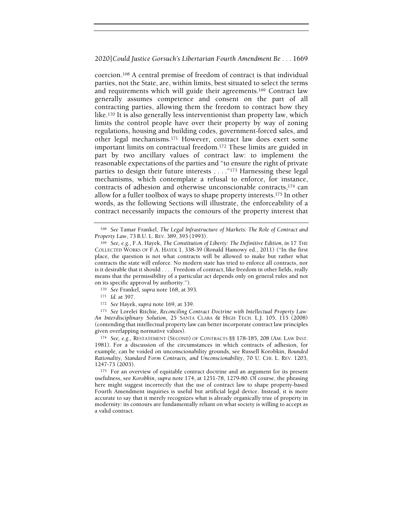coercion.168 A central premise of freedom of contract is that individual parties, not the State, are, within limits, best situated to select the terms and requirements which will guide their agreements.169 Contract law generally assumes competence and consent on the part of all contracting parties, allowing them the freedom to contract how they like.170 It is also generally less interventionist than property law, which limits the control people have over their property by way of zoning regulations, housing and building codes, government-forced sales, and other legal mechanisms.171 However, contract law does exert some important limits on contractual freedom.172 These limits are guided in part by two ancillary values of contract law: to implement the reasonable expectations of the parties and "to ensure the right of private parties to design their future interests . . . ."173 Harnessing these legal mechanisms, which contemplate a refusal to enforce, for instance, contracts of adhesion and otherwise unconscionable contracts,174 can allow for a fuller toolbox of ways to shape property interests.175 In other words, as the following Sections will illustrate, the enforceability of a contract necessarily impacts the contours of the property interest that

173 See Lorelei Ritchie, Reconciling Contract Doctrine with Intellectual Property Law: An Interdisciplinary Solution, 25 SANTA CLARA & HIGH TECH. L.J. 105, 115 (2008) (contending that intellectual property law can better incorporate contract law principles given overlapping normative values).

<sup>174</sup> See, e.g., RESTATEMENT (SECOND) OF CONTRACTS §§ 178-185, 208 (AM. LAW INST. 1981). For a discussion of the circumstances in which contracts of adhesion, for example, can be voided on unconscionability grounds, see Russell Korobkin, Bounded Rationality, Standard Form Contracts, and Unconscionability, 70 U. CHI. L. REV. 1203, 1247-73 (2003).

<sup>175</sup> For an overview of equitable contract doctrine and an argument for its present usefulness, see Korobkin, supra note 174, at 1251-78, 1279-80. Of course, the phrasing here might suggest incorrectly that the use of contract law to shape property-based Fourth Amendment inquiries is useful but artificial legal device. Instead, it is more accurate to say that it merely recognizes what is already organically true of property in modernity: its contours are fundamentally reliant on what society is willing to accept as a valid contract.

<sup>168</sup> See Tamar Frankel, The Legal Infrastructure of Markets: The Role of Contract and Property Law, 73 B.U. L. REV. 389, 393 (1993).

<sup>169</sup> See, e.g., F.A. Hayek, The Constitution of Liberty: The Definitive Edition, in 17 THE COLLECTED WORKS OF F.A. HAYEK 1, 338-39 (Ronald Hamowy ed., 2011) ("In the first place, the question is not what contracts will be allowed to make but rather what contracts the state will enforce. No modern state has tried to enforce all contracts, nor is it desirable that it should . . . . Freedom of contract, like freedom in other fields, really means that the permissibility of a particular act depends only on general rules and not on its specific approval by authority.").

<sup>170</sup> See Frankel, supra note 168, at 393.

<sup>171</sup> Id. at 397.

<sup>172</sup> See Hayek, supra note 169, at 339.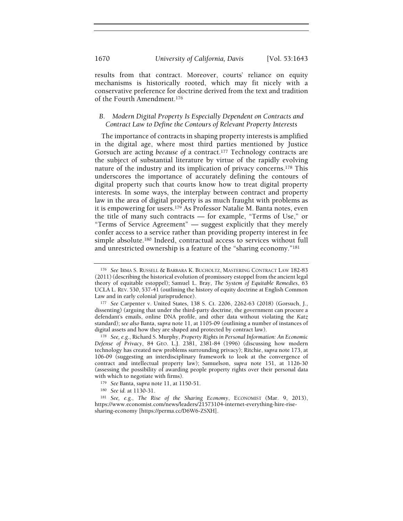results from that contract. Moreover, courts' reliance on equity mechanisms is historically rooted, which may fit nicely with a conservative preference for doctrine derived from the text and tradition of the Fourth Amendment.<sup>176</sup>

## B. Modern Digital Property Is Especially Dependent on Contracts and Contract Law to Define the Contours of Relevant Property Interests

The importance of contracts in shaping property interests is amplified in the digital age, where most third parties mentioned by Justice Gorsuch are acting because of a contract.177 Technology contracts are the subject of substantial literature by virtue of the rapidly evolving nature of the industry and its implication of privacy concerns.178 This underscores the importance of accurately defining the contours of digital property such that courts know how to treat digital property interests. In some ways, the interplay between contract and property law in the area of digital property is as much fraught with problems as it is empowering for users.179 As Professor Natalie M. Banta notes, even the title of many such contracts — for example, "Terms of Use," or "Terms of Service Agreement" — suggest explicitly that they merely confer access to a service rather than providing property interest in fee simple absolute.180 Indeed, contractual access to services without full and unrestricted ownership is a feature of the "sharing economy."<sup>181</sup>

<sup>176</sup> See IRMA S. RUSSELL & BARBARA K. BUCHOLTZ, MASTERING CONTRACT LAW 182-83 (2011) (describing the historical evolution of promissory estoppel from the ancient legal theory of equitable estoppel); Samuel L. Bray, The System of Equitable Remedies, 63 UCLA L. REV. 530, 537-41 (outlining the history of equity doctrine at English Common Law and in early colonial jurisprudence).

<sup>177</sup> See Carpenter v. United States, 138 S. Ct. 2206, 2262-63 (2018) (Gorsuch, J., dissenting) (arguing that under the third-party doctrine, the government can procure a defendant's emails, online DNA profile, and other data without violating the Katz standard); see also Banta, supra note 11, at 1105-09 (outlining a number of instances of digital assets and how they are shaped and protected by contract law).

<sup>178</sup> See, e.g., Richard S. Murphy, Property Rights in Personal Information: An Economic Defense of Privacy, 84 GEO. L.J. 2381, 2381-84 (1996) (discussing how modern technology has created new problems surrounding privacy); Ritchie, supra note 173, at 106-09 (suggesting an interdisciplinary framework to look at the convergence of contract and intellectual property law); Samuelson, supra note 151, at 1126-30 (assessing the possibility of awarding people property rights over their personal data with which to negotiate with firms).

<sup>179</sup> See Banta, supra note 11, at 1150-51.

<sup>180</sup> See id. at 1130-31.

<sup>181</sup> See, e.g., The Rise of the Sharing Economy, ECONOMIST (Mar. 9, 2013), https://www.economist.com/news/leaders/21573104-internet-everything-hire-risesharing-economy [https://perma.cc/D6W6-ZSXH].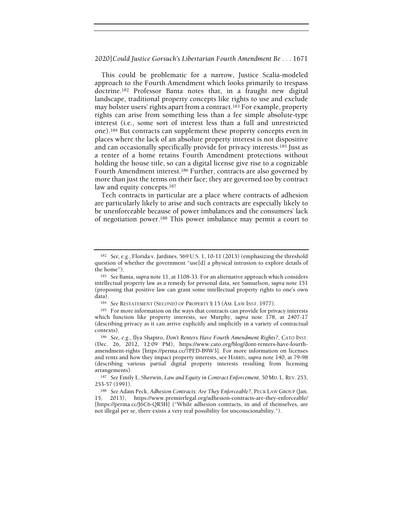This could be problematic for a narrow, Justice Scalia-modeled approach to the Fourth Amendment which looks primarily to trespass doctrine.182 Professor Banta notes that, in a fraught new digital landscape, traditional property concepts like rights to use and exclude may bolster users' rights apart from a contract.183 For example, property rights can arise from something less than a fee simple absolute-type interest (i.e., some sort of interest less than a full and unrestricted one).184 But contracts can supplement these property concepts even in places where the lack of an absolute property interest is not dispositive and can occasionally specifically provide for privacy interests.185 Just as a renter of a home retains Fourth Amendment protections without holding the house title, so can a digital license give rise to a cognizable Fourth Amendment interest.<sup>186</sup> Further, contracts are also governed by more than just the terms on their face; they are governed too by contract law and equity concepts.<sup>187</sup>

Tech contracts in particular are a place where contracts of adhesion are particularly likely to arise and such contracts are especially likely to be unenforceable because of power imbalances and the consumers' lack of negotiation power.188 This power imbalance may permit a court to

<sup>182</sup> See, e.g., Florida v. Jardines, 569 U.S. 1, 10-11 (2013) (emphasizing the threshold question of whether the government "use[d] a physical intrusion to explore details of the home").

<sup>183</sup> See Banta, supra note 11, at 1108-33. For an alternative approach which considers intellectual property law as a remedy for personal data, see Samuelson, supra note 151 (proposing that positive law can grant some intellectual property rights to one's own data).

<sup>184</sup> See RESTATEMENT (SECOND) OF PROPERTY § 15 (AM. LAW INST. 1977).

<sup>&</sup>lt;sup>185</sup> For more information on the ways that contracts can provide for privacy interests which function like property interests, see Murphy, supra note 178, at 2407-17 (describing privacy as it can arrive explicitly and implicitly in a variety of contractual contexts).

<sup>186</sup> See, e.g., Ilya Shapiro, Don't Renters Have Fourth Amendment Rights?, CATO INST. (Dec. 26, 2012, 12:09 PM), https://www.cato.org/blog/dont-renters-have-fourthamendment-rights [https://perma.cc/7PED-B9W3]. For more information on licenses and rents and how they impact property interests, see HARRIS, supra note 140, at 79-98 (describing various partial digital property interests resulting from licensing arrangements).

<sup>187</sup> See Emily L. Sherwin, Law and Equity in Contract Enforcement, 50 MD. L. REV. 253, 253-57 (1991).

<sup>188</sup> See Adam Peck, Adhesion Contracts: Are They Enforceable?, PECK LAW GROUP (Jan. 15, 2013), https://www.premierlegal.org/adhesion-contracts-are-they-enforceable/ [https://perma.cc/J6C6-QR5H] ("While adhesion contracts, in and of themselves, are not illegal per se, there exists a very real possibility for unconscionability.").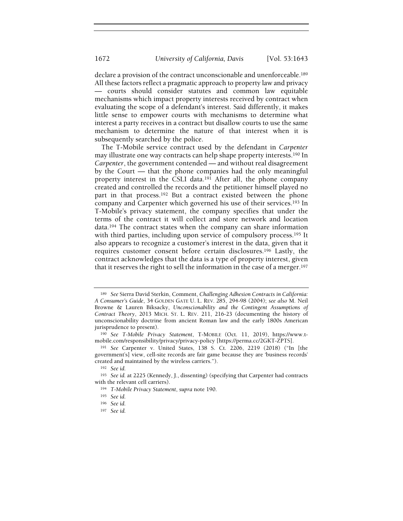declare a provision of the contract unconscionable and unenforceable.<sup>189</sup> All these factors reflect a pragmatic approach to property law and privacy — courts should consider statutes and common law equitable mechanisms which impact property interests received by contract when evaluating the scope of a defendant's interest. Said differently, it makes little sense to empower courts with mechanisms to determine what interest a party receives in a contract but disallow courts to use the same mechanism to determine the nature of that interest when it is subsequently searched by the police.

The T-Mobile service contract used by the defendant in Carpenter may illustrate one way contracts can help shape property interests.190 In Carpenter, the government contended — and without real disagreement by the Court — that the phone companies had the only meaningful property interest in the CSLI data.191 After all, the phone company created and controlled the records and the petitioner himself played no part in that process.192 But a contract existed between the phone company and Carpenter which governed his use of their services.193 In T-Mobile's privacy statement, the company specifies that under the terms of the contract it will collect and store network and location data.194 The contract states when the company can share information with third parties, including upon service of compulsory process.<sup>195</sup> It also appears to recognize a customer's interest in the data, given that it requires customer consent before certain disclosures.196 Lastly, the contract acknowledges that the data is a type of property interest, given that it reserves the right to sell the information in the case of a merger.<sup>197</sup>

<sup>189</sup> See Sierra David Sterkin, Comment, Challenging Adhesion Contracts in California: A Consumer's Guide, 34 GOLDEN GATE U. L. REV. 285, 294-98 (2004); see also M. Neil Browne & Lauren Biksacky, Unconscionability and the Contingent Assumptions of Contract Theory, 2013 MICH. ST. L. REV. 211, 216-23 (documenting the history of unconscionability doctrine from ancient Roman law and the early 1800s American jurisprudence to present).

<sup>190</sup> See T-Mobile Privacy Statement, T-MOBILE (Oct. 11, 2019), https://www.tmobile.com/responsibility/privacy/privacy-policy [https://perma.cc/2GKT-ZPTS].

<sup>191</sup> See Carpenter v. United States, 138 S. Ct. 2206, 2219 (2018) ("In [the government's] view, cell-site records are fair game because they are 'business records' created and maintained by the wireless carriers.").

<sup>192</sup> See id.

<sup>193</sup> See id. at 2225 (Kennedy, J., dissenting) (specifying that Carpenter had contracts with the relevant cell carriers).

<sup>194</sup> T-Mobile Privacy Statement, supra note 190.

<sup>195</sup> See id.

<sup>196</sup> See id.

<sup>197</sup> See id.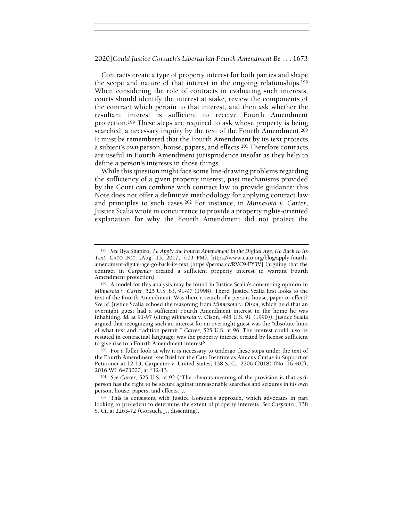Contracts create a type of property interest for both parties and shape the scope and nature of that interest in the ongoing relationships.<sup>198</sup> When considering the role of contracts in evaluating such interests, courts should identify the interest at stake, review the components of the contract which pertain to that interest, and then ask whether the resultant interest is sufficient to receive Fourth Amendment protection.199 These steps are required to ask whose property is being searched, a necessary inquiry by the text of the Fourth Amendment.<sup>200</sup> It must be remembered that the Fourth Amendment by its text protects a subject's own person, house, papers, and effects.201 Therefore contracts are useful in Fourth Amendment jurisprudence insofar as they help to define a person's interests in those things.

While this question might face some line-drawing problems regarding the sufficiency of a given property interest, past mechanisms provided by the Court can combine with contract law to provide guidance; this Note does not offer a definitive methodology for applying contract law and principles to such cases.202 For instance, in Minnesota v. Carter, Justice Scalia wrote in concurrence to provide a property rights-oriented explanation for why the Fourth Amendment did not protect the

<sup>&</sup>lt;sup>198</sup> See Ilya Shapiro, To Apply the Fourth Amendment in the Digital Age, Go Back to Its Text, CATO INST. (Aug. 13, 2017, 7:03 PM), https://www.cato.org/blog/apply-fourthamendment-digital-age-go-back-its-text [https://perma.cc/RVC9-FY3V] (arguing that the contract in Carpenter created a sufficient property interest to warrant Fourth Amendment protection).

<sup>199</sup> A model for this analysis may be found in Justice Scalia's concurring opinion in Minnesota v. Carter, 525 U.S. 83, 91-97 (1998). There, Justice Scalia first looks to the text of the Fourth Amendment: Was there a search of a person, house, paper or effect? See id. Justice Scalia echoed the reasoning from Minnesota v. Olson, which held that an overnight guest had a sufficient Fourth Amendment interest in the home he was inhabiting. Id. at 91-97 (citing Minnesota v. Olson, 495 U.S. 91 (1990)). Justice Scalia argued that recognizing such an interest for an overnight guest was the "absolute limit of what text and tradition permit." Carter, 525 U.S. at 96. The interest could also be restated in contractual language: was the property interest created by license sufficient to give rise to a Fourth Amendment interest?

<sup>200</sup> For a fuller look at why it is necessary to undergo these steps under the text of the Fourth Amendment, see Brief for the Cato Institute as Amicus Curiae in Support of Petitioner at 12-13, Carpenter v. United States, 138 S. Ct. 2206 (2018) (No. 16-402), 2016 WL 6473000, at \*12-13.

<sup>201</sup> See Carter, 525 U.S. at 92 ("The obvious meaning of the provision is that each person has the right to be secure against unreasonable searches and seizures in his own person, house, papers, and effects.").

<sup>202</sup> This is consistent with Justice Gorsuch's approach, which advocates in part looking to precedent to determine the extent of property interests. See Carpenter, 138 S. Ct. at 2263-72 (Gorsuch, J., dissenting).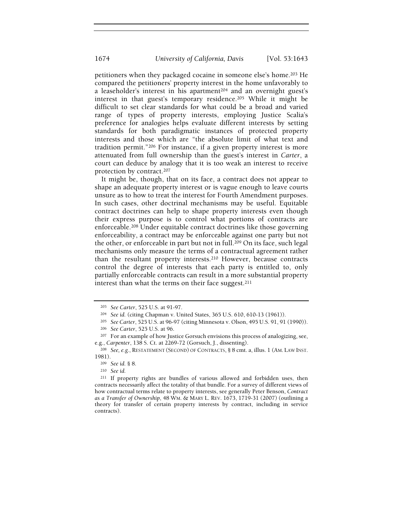petitioners when they packaged cocaine in someone else's home.203 He compared the petitioners' property interest in the home unfavorably to a leaseholder's interest in his apartment<sup>204</sup> and an overnight guest's interest in that guest's temporary residence.205 While it might be difficult to set clear standards for what could be a broad and varied range of types of property interests, employing Justice Scalia's preference for analogies helps evaluate different interests by setting standards for both paradigmatic instances of protected property interests and those which are "the absolute limit of what text and tradition permit."206 For instance, if a given property interest is more attenuated from full ownership than the guest's interest in Carter, a court can deduce by analogy that it is too weak an interest to receive protection by contract.<sup>207</sup>

It might be, though, that on its face, a contract does not appear to shape an adequate property interest or is vague enough to leave courts unsure as to how to treat the interest for Fourth Amendment purposes. In such cases, other doctrinal mechanisms may be useful. Equitable contract doctrines can help to shape property interests even though their express purpose is to control what portions of contracts are enforceable.208 Under equitable contract doctrines like those governing enforceability, a contract may be enforceable against one party but not the other, or enforceable in part but not in full.209 On its face, such legal mechanisms only measure the terms of a contractual agreement rather than the resultant property interests.210 However, because contracts control the degree of interests that each party is entitled to, only partially enforceable contracts can result in a more substantial property interest than what the terms on their face suggest.<sup>211</sup>

<sup>203</sup> See Carter, 525 U.S. at 91-97.

<sup>204</sup> See id. (citing Chapman v. United States, 365 U.S. 610, 610-13 (1961)).

<sup>205</sup> See Carter, 525 U.S. at 96-97 (citing Minnesota v. Olson, 495 U.S. 91, 91 (1990)).

<sup>206</sup> See Carter, 525 U.S. at 96.

<sup>&</sup>lt;sup>207</sup> For an example of how Justice Gorsuch envisions this process of analogizing, see, e.g., Carpenter, 138 S. Ct. at 2269-72 (Gorsuch, J., dissenting).

<sup>208</sup> See, e.g., RESTATEMENT (SECOND) OF CONTRACTS, § 8 cmt. a, illus. 1 (AM. LAW INST. 1981).

<sup>209</sup> See id. § 8.

<sup>210</sup> See id.

<sup>211</sup> If property rights are bundles of various allowed and forbidden uses, then contracts necessarily affect the totality of that bundle. For a survey of different views of how contractual terms relate to property interests, see generally Peter Benson, Contract as a Transfer of Ownership, 48 WM. & MARY L. REV. 1673, 1719-31 (2007) (outlining a theory for transfer of certain property interests by contract, including in service contracts).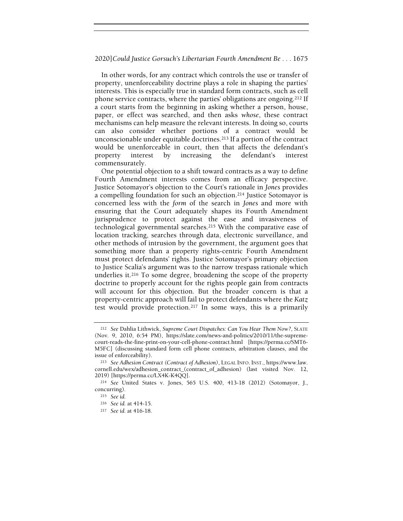In other words, for any contract which controls the use or transfer of property, unenforceability doctrine plays a role in shaping the parties' interests. This is especially true in standard form contracts, such as cell phone service contracts, where the parties' obligations are ongoing.212 If a court starts from the beginning in asking whether a person, house, paper, or effect was searched, and then asks whose, these contract mechanisms can help measure the relevant interests. In doing so, courts can also consider whether portions of a contract would be unconscionable under equitable doctrines.213 If a portion of the contract would be unenforceable in court, then that affects the defendant's property interest by increasing the defendant's interest commensurately.

One potential objection to a shift toward contracts as a way to define Fourth Amendment interests comes from an efficacy perspective. Justice Sotomayor's objection to the Court's rationale in Jones provides a compelling foundation for such an objection.214 Justice Sotomayor is concerned less with the form of the search in Jones and more with ensuring that the Court adequately shapes its Fourth Amendment jurisprudence to protect against the ease and invasiveness of technological governmental searches.215 With the comparative ease of location tracking, searches through data, electronic surveillance, and other methods of intrusion by the government, the argument goes that something more than a property rights-centric Fourth Amendment must protect defendants' rights. Justice Sotomayor's primary objection to Justice Scalia's argument was to the narrow trespass rationale which underlies it.216 To some degree, broadening the scope of the property doctrine to properly account for the rights people gain from contracts will account for this objection. But the broader concern is that a property-centric approach will fail to protect defendants where the Katz test would provide protection.217 In some ways, this is a primarily

<sup>&</sup>lt;sup>212</sup> See Dahlia Lithwick, Supreme Court Dispatches: Can You Hear Them Now?, SLATE (Nov. 9, 2010, 6:54 PM), https://slate.com/news-and-politics/2010/11/the-supremecourt-reads-the-fine-print-on-your-cell-phone-contract.html [https://perma.cc/SMT6- M5FC] (discussing standard form cell phone contracts, arbitration clauses, and the issue of enforceability).

<sup>213</sup> See Adhesion Contract (Contract of Adhesion), LEGAL INFO. INST., https://www.law. cornell.edu/wex/adhesion\_contract\_(contract\_of\_adhesion) (last visited Nov. 12, 2019) [https://perma.cc/LX4K-K4QQ].

<sup>214</sup> See United States v. Jones, 565 U.S. 400, 413-18 (2012) (Sotomayor, J., concurring).

<sup>215</sup> See id.

<sup>216</sup> See id. at 414-15.

<sup>217</sup> See id. at 416-18.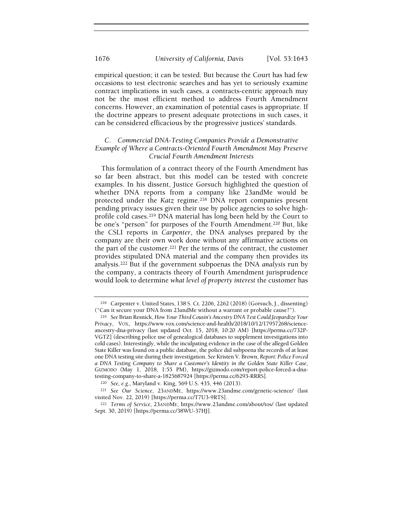empirical question; it can be tested. But because the Court has had few occasions to test electronic searches and has yet to seriously examine contract implications in such cases, a contracts-centric approach may not be the most efficient method to address Fourth Amendment concerns. However, an examination of potential cases is appropriate. If the doctrine appears to present adequate protections in such cases, it can be considered efficacious by the progressive justices' standards.

## C. Commercial DNA-Testing Companies Provide a Demonstrative Example of Where a Contracts-Oriented Fourth Amendment May Preserve Crucial Fourth Amendment Interests

This formulation of a contract theory of the Fourth Amendment has so far been abstract, but this model can be tested with concrete examples. In his dissent, Justice Gorsuch highlighted the question of whether DNA reports from a company like 23andMe would be protected under the Katz regime.<sup>218</sup> DNA report companies present pending privacy issues given their use by police agencies to solve highprofile cold cases.219 DNA material has long been held by the Court to be one's "person" for purposes of the Fourth Amendment.<sup>220</sup> But, like the CSLI reports in Carpenter, the DNA analyses prepared by the company are their own work done without any affirmative actions on the part of the customer.221 Per the terms of the contract, the customer provides stipulated DNA material and the company then provides its analysis.222 But if the government subpoenas the DNA analysis run by the company, a contracts theory of Fourth Amendment jurisprudence would look to determine what level of property interest the customer has

<sup>218</sup> Carpenter v. United States, 138 S. Ct. 2206, 2262 (2018) (Gorsuch, J., dissenting) ("Can it secure your DNA from 23andMe without a warrant or probable cause?").

<sup>219</sup> See Brian Resnick, How Your Third Cousin's Ancestry DNA Test Could Jeopardize Your Privacy, VOX, https://www.vox.com/science-and-health/2018/10/12/17957268/scienceancestry-dna-privacy (last updated Oct. 15, 2018, 10:20 AM) [https://perma.cc/732P-VGTZ] (describing police use of genealogical databases to supplement investigations into cold cases). Interestingly, while the inculpating evidence in the case of the alleged Golden State Killer was found on a public database, the police did subpoena the records of at least one DNA testing site during their investigation. See Kristen V. Brown, Report: Police Forced a DNA Testing Company to Share a Customer's Identity in the Golden State Killer Case, GIZMODO (May 1, 2018, 1:55 PM), https://gizmodo.com/report-police-forced-a-dnatesting-company-to-share-a-1825687924 [https://perma.cc/6293-RRRS].

<sup>220</sup> See, e.g., Maryland v. King, 569 U.S. 435, 446 (2013).

<sup>221</sup> See Our Science, 23ANDME, https://www.23andme.com/genetic-science/ (last visited Nov. 22, 2019) [https://perma.cc/T7U3-9RTS].

<sup>222</sup> Terms of Service, 23ANDME, https://www.23andme.com/about/tos/ (last updated Sept. 30, 2019) [https://perma.cc/38WU-37HJ].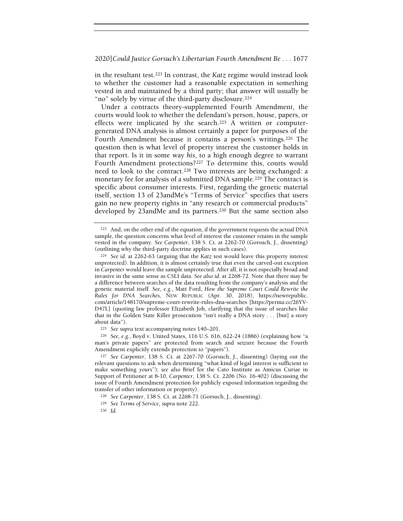in the resultant test.223 In contrast, the Katz regime would instead look to whether the customer had a reasonable expectation in something vested in and maintained by a third party; that answer will usually be "no" solely by virtue of the third-party disclosure.<sup>224</sup>

Under a contracts theory-supplemented Fourth Amendment, the courts would look to whether the defendant's person, house, papers, or effects were implicated by the search.<sup>225</sup> A written or computergenerated DNA analysis is almost certainly a paper for purposes of the Fourth Amendment because it contains a person's writings.<sup>226</sup> The question then is what level of property interest the customer holds in that report. Is it in some way his, to a high enough degree to warrant Fourth Amendment protections?227 To determine this, courts would need to look to the contract.<sup>228</sup> Two interests are being exchanged: a monetary fee for analysis of a submitted DNA sample.<sup>229</sup> The contract is specific about consumer interests. First, regarding the genetic material itself, section 13 of 23andMe's "Terms of Service" specifies that users gain no new property rights in "any research or commercial products" developed by 23andMe and its partners.<sup>230</sup> But the same section also

<sup>223</sup> And, on the other end of the equation, if the government requests the actual DNA sample, the question concerns what level of interest the customer retains in the sample vested in the company. See Carpenter, 138 S. Ct. at 2262-70 (Gorsuch, J., dissenting) (outlining why the third-party doctrine applies in such cases).

<sup>224</sup> See id. at 2262-63 (arguing that the Katz test would leave this property interest unprotected). In addition, it is almost certainly true that even the carved-out exception in Carpenter would leave the sample unprotected. After all, it is not especially broad and invasive in the same sense as CSLI data. See also id. at 2268-72. Note that there may be a difference between searches of the data resulting from the company's analysis and the genetic material itself. See, e.g., Matt Ford, How the Supreme Court Could Rewrite the Rules for DNA Searches, NEW REPUBLIC (Apr. 30, 2018), https://newrepublic. com/article/148170/supreme-court-rewrite-rules-dna-searches [https://perma.cc/26YV-D47L] (quoting law professor Elizabeth Joh, clarifying that the issue of searches like that in the Golden State Killer prosecution "isn't really a DNA story . . . [but] a story about data").

<sup>225</sup> See supra text accompanying notes 140–201.

<sup>226</sup> See, e.g., Boyd v. United States, 116 U.S. 616, 622-24 (1886) (explaining how "a man's private papers" are protected from search and seizure because the Fourth Amendment explicitly extends protection to "papers").

<sup>227</sup> See Carpenter, 138 S. Ct. at 2267-70 (Gorsuch, J., dissenting) (laying out the relevant questions to ask when determining "what kind of legal interest is sufficient to make something yours"); see also Brief for the Cato Institute as Amicus Curiae in Support of Petitioner at 8-10, Carpenter, 138 S. Ct. 2206 (No. 16-402) (discussing the issue of Fourth Amendment protection for publicly exposed information regarding the transfer of other information or property).

<sup>228</sup> See Carpenter, 138 S. Ct. at 2268-71 (Gorsuch, J., dissenting).

<sup>229</sup> See Terms of Service, supra note 222.

<sup>230</sup> Id.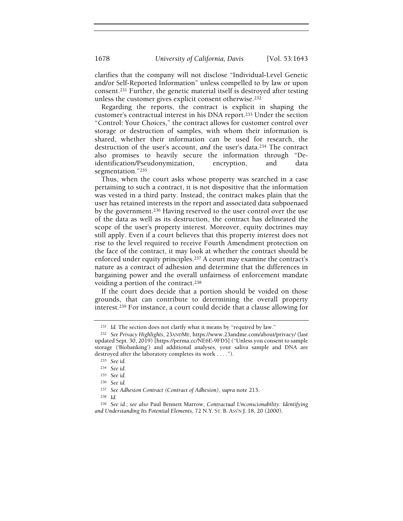clarifies that the company will not disclose "Individual-Level Genetic and/or Self-Reported Information" unless compelled to by law or upon consent.231 Further, the genetic material itself is destroyed after testing unless the customer gives explicit consent otherwise.<sup>232</sup>

Regarding the reports, the contract is explicit in shaping the customer's contractual interest in his DNA report.233 Under the section "Control: Your Choices," the contract allows for customer control over storage or destruction of samples, with whom their information is shared, whether their information can be used for research, the destruction of the user's account, and the user's data.234 The contract also promises to heavily secure the information through "Deidentification/Pseudonymization, encryption, and data segmentation."<sup>235</sup>

Thus, when the court asks whose property was searched in a case pertaining to such a contract, it is not dispositive that the information was vested in a third party. Instead, the contract makes plain that the user has retained interests in the report and associated data subpoenaed by the government.236 Having reserved to the user control over the use of the data as well as its destruction, the contract has delineated the scope of the user's property interest. Moreover, equity doctrines may still apply. Even if a court believes that this property interest does not rise to the level required to receive Fourth Amendment protection on the face of the contract, it may look at whether the contract should be enforced under equity principles.237 A court may examine the contract's nature as a contract of adhesion and determine that the differences in bargaining power and the overall unfairness of enforcement mandate voiding a portion of the contract.<sup>238</sup>

If the court does decide that a portion should be voided on those grounds, that can contribute to determining the overall property interest.239 For instance, a court could decide that a clause allowing for

<sup>238</sup> Id.

<sup>&</sup>lt;sup>231</sup> Id. The section does not clarify what it means by "required by law."

<sup>232</sup> See Privacy Highlights, 23ANDME, https://www.23andme.com/about/privacy/ (last updated Sept. 30, 2019) [https://perma.cc/NE6E-9FD5] ("Unless you consent to sample storage ('Biobanking') and additional analyses, your saliva sample and DNA are destroyed after the laboratory completes its work . . . .").

<sup>233</sup> See id.

<sup>234</sup> See id.

<sup>235</sup> See id.

<sup>236</sup> See id.

<sup>237</sup> See Adhesion Contract (Contract of Adhesion), supra note 213.

<sup>239</sup> See id.; see also Paul Bennett Marrow, Contractual Unconscionability: Identifying and Understanding Its Potential Elements, 72 N.Y. ST. B. ASS'N J. 18, 20 (2000).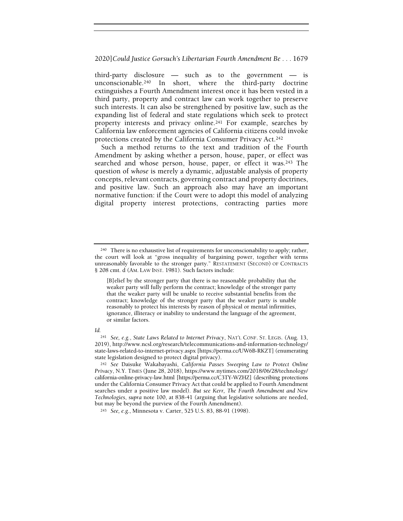third-party disclosure — such as to the government — is unconscionable.240 In short, where the third-party doctrine extinguishes a Fourth Amendment interest once it has been vested in a third party, property and contract law can work together to preserve such interests. It can also be strengthened by positive law, such as the expanding list of federal and state regulations which seek to protect property interests and privacy online.241 For example, searches by California law enforcement agencies of California citizens could invoke protections created by the California Consumer Privacy Act.<sup>242</sup>

Such a method returns to the text and tradition of the Fourth Amendment by asking whether a person, house, paper, or effect was searched and whose person, house, paper, or effect it was.243 The question of whose is merely a dynamic, adjustable analysis of property concepts, relevant contracts, governing contract and property doctrines, and positive law. Such an approach also may have an important normative function: if the Court were to adopt this model of analyzing digital property interest protections, contracting parties more

#### Id.

 $240$  There is no exhaustive list of requirements for unconscionability to apply; rather, the court will look at "gross inequality of bargaining power, together with terms unreasonably favorable to the stronger party." RESTATEMENT (SECOND) OF CONTRACTS § 208 cmt. d (AM. LAW INST. 1981). Such factors include:

<sup>[</sup>B]elief by the stronger party that there is no reasonable probability that the weaker party will fully perform the contract; knowledge of the stronger party that the weaker party will be unable to receive substantial benefits from the contract; knowledge of the stronger party that the weaker party is unable reasonably to protect his interests by reason of physical or mental infirmities, ignorance, illiteracy or inability to understand the language of the agreement, or similar factors.

<sup>241</sup> See, e.g., State Laws Related to Internet Privacy, NAT'L CONF. ST. LEGIS. (Aug. 13, 2019), http://www.ncsl.org/research/telecommunications-and-information-technology/ state-laws-related-to-internet-privacy.aspx [https://perma.cc/UW6B-RKZT] (enumerating state legislation designed to protect digital privacy).

<sup>242</sup> See Daisuke Wakabayashi, California Passes Sweeping Law to Protect Online Privacy, N.Y. TIMES (June 28, 2018), https://www.nytimes.com/2018/06/28/technology/ california-online-privacy-law.html [https://perma.cc/C3TY-WZHZ] (describing protections under the California Consumer Privacy Act that could be applied to Fourth Amendment searches under a positive law model). But see Kerr, The Fourth Amendment and New Technologies, supra note 100, at 838-41 (arguing that legislative solutions are needed, but may be beyond the purview of the Fourth Amendment).

<sup>243</sup> See, e.g., Minnesota v. Carter, 525 U.S. 83, 88-91 (1998).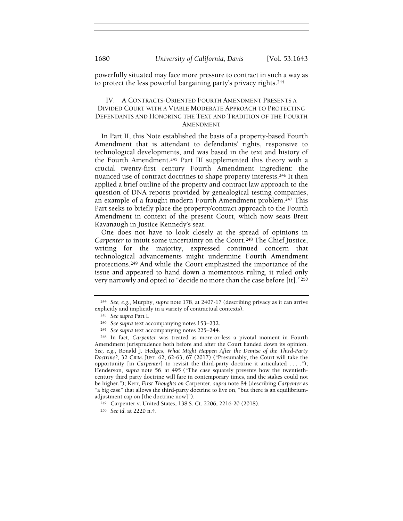powerfully situated may face more pressure to contract in such a way as to protect the less powerful bargaining party's privacy rights.<sup>244</sup>

## IV. A CONTRACTS-ORIENTED FOURTH AMENDMENT PRESENTS A DIVIDED COURT WITH A VIABLE MODERATE APPROACH TO PROTECTING DEFENDANTS AND HONORING THE TEXT AND TRADITION OF THE FOURTH AMENDMENT

In Part II, this Note established the basis of a property-based Fourth Amendment that is attendant to defendants' rights, responsive to technological developments, and was based in the text and history of the Fourth Amendment.245 Part III supplemented this theory with a crucial twenty-first century Fourth Amendment ingredient: the nuanced use of contract doctrines to shape property interests.246 It then applied a brief outline of the property and contract law approach to the question of DNA reports provided by genealogical testing companies, an example of a fraught modern Fourth Amendment problem.247 This Part seeks to briefly place the property/contract approach to the Fourth Amendment in context of the present Court, which now seats Brett Kavanaugh in Justice Kennedy's seat.

One does not have to look closely at the spread of opinions in Carpenter to intuit some uncertainty on the Court.248 The Chief Justice, writing for the majority, expressed continued concern that technological advancements might undermine Fourth Amendment protections.249 And while the Court emphasized the importance of the issue and appeared to hand down a momentous ruling, it ruled only very narrowly and opted to "decide no more than the case before [it]."<sup>250</sup>

<sup>&</sup>lt;sup>244</sup> See, e.g., Murphy, supra note 178, at  $2407-17$  (describing privacy as it can arrive explicitly and implicitly in a variety of contractual contexts).

<sup>245</sup> See supra Part I.

<sup>246</sup> See supra text accompanying notes 153–232.

<sup>247</sup> See supra text accompanying notes 225–244.

<sup>248</sup> In fact, Carpenter was treated as more-or-less a pivotal moment in Fourth Amendment jurisprudence both before and after the Court handed down its opinion. See, e.g., Ronald J. Hedges, What Might Happen After the Demise of the Third-Party Doctrine?, 32 CRIM. JUST. 62, 62-63, 67 (2017) ("Presumably, the Court will take the opportunity [in Carpenter] to revisit the third-party doctrine it articulated . . . ."); Henderson, supra note 56, at 495 ("The case squarely presents how the twentiethcentury third party doctrine will fare in contemporary times, and the stakes could not be higher."); Kerr, First Thoughts on Carpenter, supra note 84 (describing Carpenter as "a big case" that allows the third-party doctrine to live on, "but there is an equilibriumadjustment cap on [the doctrine now]").

<sup>249</sup> Carpenter v. United States, 138 S. Ct. 2206, 2216-20 (2018).

<sup>250</sup> See id. at 2220 n.4.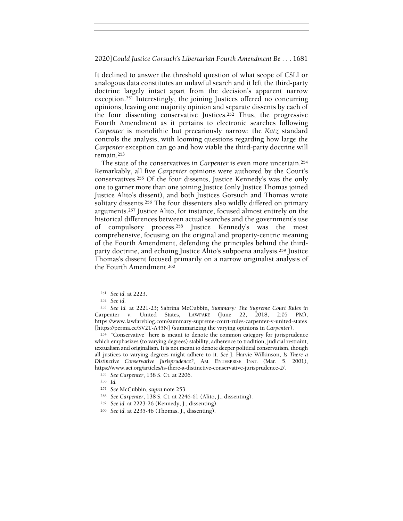It declined to answer the threshold question of what scope of CSLI or analogous data constitutes an unlawful search and it left the third-party doctrine largely intact apart from the decision's apparent narrow exception.251 Interestingly, the joining Justices offered no concurring opinions, leaving one majority opinion and separate dissents by each of the four dissenting conservative Justices.252 Thus, the progressive Fourth Amendment as it pertains to electronic searches following Carpenter is monolithic but precariously narrow: the Katz standard controls the analysis, with looming questions regarding how large the Carpenter exception can go and how viable the third-party doctrine will remain.<sup>253</sup>

The state of the conservatives in Carpenter is even more uncertain.<sup>254</sup> Remarkably, all five Carpenter opinions were authored by the Court's conservatives.255 Of the four dissents, Justice Kennedy's was the only one to garner more than one joining Justice (only Justice Thomas joined Justice Alito's dissent), and both Justices Gorsuch and Thomas wrote solitary dissents.256 The four dissenters also wildly differed on primary arguments.257 Justice Alito, for instance, focused almost entirely on the historical differences between actual searches and the government's use of compulsory process.258 Justice Kennedy's was the most comprehensive, focusing on the original and property-centric meaning of the Fourth Amendment, defending the principles behind the thirdparty doctrine, and echoing Justice Alito's subpoena analysis.259 Justice Thomas's dissent focused primarily on a narrow originalist analysis of the Fourth Amendment.<sup>260</sup>

<sup>254</sup> "Conservative" here is meant to denote the common category for jurisprudence which emphasizes (to varying degrees) stability, adherence to tradition, judicial restraint, textualism and originalism. It is not meant to denote deeper political conservatism, though all justices to varying degrees might adhere to it. See J. Harvie Wilkinson, Is There a Distinctive Conservative Jurisprudence?, AM. ENTERPRISE INST. (Mar. 5, 2001), https://www.aei.org/articles/is-there-a-distinctive-conservative-jurisprudence-2/.

<sup>251</sup> See id. at 2223.

<sup>252</sup> See id.

<sup>253</sup> See id. at 2221-23; Sabrina McCubbin, Summary: The Supreme Court Rules in Carpenter v. United States, LAWFARE (June 22, 2018, 2:05 PM), https://www.lawfareblog.com/summary-supreme-court-rules-carpenter-v-united-states [https://perma.cc/SV2T-A45N] (summarizing the varying opinions in Carpenter).

<sup>255</sup> See Carpenter, 138 S. Ct. at 2206.

<sup>256</sup> Id.

<sup>257</sup> See McCubbin, supra note 253.

<sup>258</sup> See Carpenter, 138 S. Ct. at 2246-61 (Alito, J., dissenting).

<sup>259</sup> See id. at 2223-26 (Kennedy, J., dissenting).

<sup>260</sup> See id. at 2235-46 (Thomas, J., dissenting).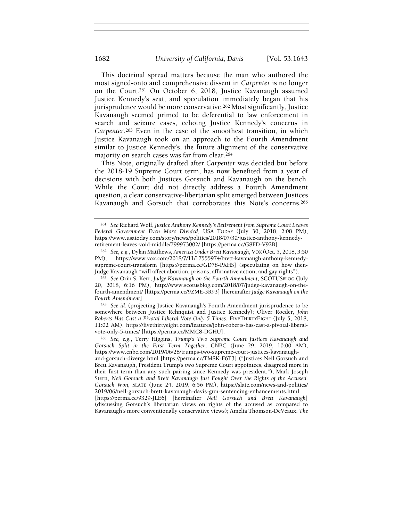This doctrinal spread matters because the man who authored the most signed-onto and comprehensive dissent in Carpenter is no longer on the Court.261 On October 6, 2018, Justice Kavanaugh assumed Justice Kennedy's seat, and speculation immediately began that his jurisprudence would be more conservative.262 Most significantly, Justice Kavanaugh seemed primed to be deferential to law enforcement in search and seizure cases, echoing Justice Kennedy's concerns in Carpenter.263 Even in the case of the smoothest transition, in which Justice Kavanaugh took on an approach to the Fourth Amendment similar to Justice Kennedy's, the future alignment of the conservative majority on search cases was far from clear.<sup>264</sup>

This Note, originally drafted after Carpenter was decided but before the 2018-19 Supreme Court term, has now benefited from a year of decisions with both Justices Gorsuch and Kavanaugh on the bench. While the Court did not directly address a Fourth Amendment question, a clear conservative-libertarian split emerged between Justices Kavanaugh and Gorsuch that corroborates this Note's concerns.<sup>265</sup>

<sup>264</sup> See id. (projecting Justice Kavanaugh's Fourth Amendment jurisprudence to be somewhere between Justice Rehnquist and Justice Kennedy); Oliver Roeder, John Roberts Has Cast a Pivotal Liberal Vote Only 5 Times, FIVETHIRTYEIGHT (July 5, 2018, 11:02 AM), https://fivethirtyeight.com/features/john-roberts-has-cast-a-pivotal-liberalvote-only-5-times/ [https://perma.cc/MMC8-DGHU].

<sup>265</sup> See, e.g., Terry Higgins, Trump's Two Supreme Court Justices Kavanaugh and Gorsuch Split in the First Term Together, CNBC (June 29, 2019, 10:00 AM), https://www.cnbc.com/2019/06/28/trumps-two-supreme-court-justices-kavanaugh-

and-gorsuch-diverge.html [https://perma.cc/TM8K-F6T3] ("Justices Neil Gorsuch and Brett Kavanaugh, President Trump's two Supreme Court appointees, disagreed more in their first term than any such pairing since Kennedy was president."); Mark Joseph Stern, Neil Gorsuch and Brett Kavanaugh Just Fought Over the Rights of the Accused. Gorsuch Won, SLATE (June 24, 2019, 6:56 PM), https://slate.com/news-and-politics/ 2019/06/neil-gorsuch-brett-kavanaugh-davis-gun-sentencing-enhancements.html

[https://perma.cc/9329-JLE6] [hereinafter Neil Gorsuch and Brett Kavanaugh] (discussing Gorsuch's libertarian views on rights of the accused as compared to Kavanaugh's more conventionally conservative views); Amelia Thomson-DeVeaux, The

<sup>261</sup> See Richard Wolf, Justice Anthony Kennedy's Retirement from Supreme Court Leaves Federal Government Even More Divided, USA TODAY (July 30, 2018, 2:08 PM), https://www.usatoday.com/story/news/politics/2018/07/30/justice-anthony-kennedyretirement-leaves-void-middle/799973002/ [https://perma.cc/G8FD-V92B].

<sup>262</sup> See, e.g., Dylan Matthews, America Under Brett Kavanaugh, VOX (Oct. 5, 2018, 3:50 PM), https://www.vox.com/2018/7/11/17555974/brett-kavanaugh-anthony-kennedysupreme-court-transform [https://perma.cc/GD78-PXHS] (speculating on how then-Judge Kavanaugh "will affect abortion, prisons, affirmative action, and gay rights").

<sup>&</sup>lt;sup>263</sup> See Orin S. Kerr, Judge Kavanaugh on the Fourth Amendment, SCOTUSBLOG (July 20, 2018, 6:16 PM), http://www.scotusblog.com/2018/07/judge-kavanaugh-on-thefourth-amendment/ [https://perma.cc/9ZME-3R93] [hereinafter Judge Kavanaugh on the Fourth Amendment].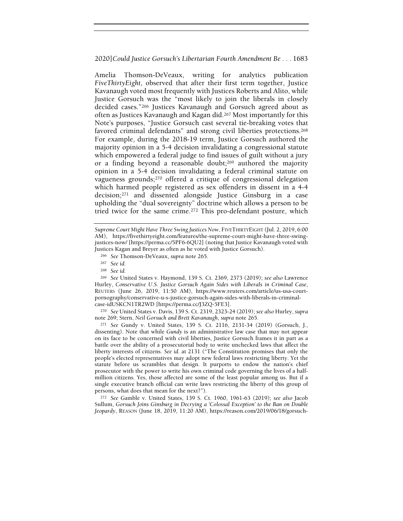Amelia Thomson-DeVeaux, writing for analytics publication FiveThirtyEight, observed that after their first term together, Justice Kavanaugh voted most frequently with Justices Roberts and Alito, while Justice Gorsuch was the "most likely to join the liberals in closely decided cases."266 Justices Kavanaugh and Gorsuch agreed about as often as Justices Kavanaugh and Kagan did.267 Most importantly for this Note's purposes, "Justice Gorsuch cast several tie-breaking votes that favored criminal defendants" and strong civil liberties protections.<sup>268</sup> For example, during the 2018-19 term, Justice Gorsuch authored the majority opinion in a 5-4 decision invalidating a congressional statute which empowered a federal judge to find issues of guilt without a jury or a finding beyond a reasonable doubt;269 authored the majority opinion in a 5-4 decision invalidating a federal criminal statute on vagueness grounds;270 offered a critique of congressional delegation which harmed people registered as sex offenders in dissent in a 4-4 decision;271 and dissented alongside Justice Ginsburg in a case upholding the "dual sovereignty" doctrine which allows a person to be tried twice for the same crime.272 This pro-defendant posture, which

<sup>270</sup> See United States v. Davis, 139 S. Ct. 2319, 2323-24 (2019); see also Hurley, supra note 269; Stern, Neil Gorsuch and Brett Kavanaugh, supra note 265.

<sup>271</sup> See Gundy v. United States, 139 S. Ct. 2116, 2131-34 (2019) (Gorsuch, J., dissenting). Note that while Gundy is an administrative law case that may not appear on its face to be concerned with civil liberties, Justice Gorsuch frames it in part as a battle over the ability of a prosecutorial body to write unchecked laws that affect the liberty interests of citizens. See id. at 2131 ("The Constitution promises that only the people's elected representatives may adopt new federal laws restricting liberty. Yet the statute before us scrambles that design. It purports to endow the nation's chief prosecutor with the power to write his own criminal code governing the lives of a halfmillion citizens. Yes, those affected are some of the least popular among us. But if a single executive branch official can write laws restricting the liberty of this group of persons, what does that mean for the next?").

<sup>272</sup> See Gamble v. United States, 139 S. Ct. 1960, 1961-63 (2019); see also Jacob Sullum, Gorsuch Joins Ginsburg in Decrying a 'Colossal Exception' to the Ban on Double Jeopardy, REASON (June 18, 2019, 11:20 AM), https://reason.com/2019/06/18/gorsuch-

Supreme Court Might Have Three Swing Justices Now, FIVETHIRTYEIGHT (Jul. 2, 2019, 6:00 AM), https://fivethirtyeight.com/features/the-supreme-court-might-have-three-swingjustices-now/ [https://perma.cc/5PF6-6QU2] (noting that Justice Kavanaugh voted with Justices Kagan and Breyer as often as he voted with Justice Gorsuch).

<sup>266</sup> See Thomson-DeVeaux, supra note 265.

<sup>267</sup> See id.

<sup>268</sup> See id.

<sup>269</sup> See United States v. Haymond, 139 S. Ct. 2369, 2373 (2019); see also Lawrence Hurley, Conservative U.S. Justice Gorsuch Again Sides with Liberals in Criminal Case, REUTERS (June 26, 2019, 11:50 AM), https://www.reuters.com/article/us-usa-courtpornography/conservative-u-s-justice-gorsuch-again-sides-with-liberals-in-criminalcase-idUSKCN1TR2WD [https://perma.cc/J3ZQ-5FE3].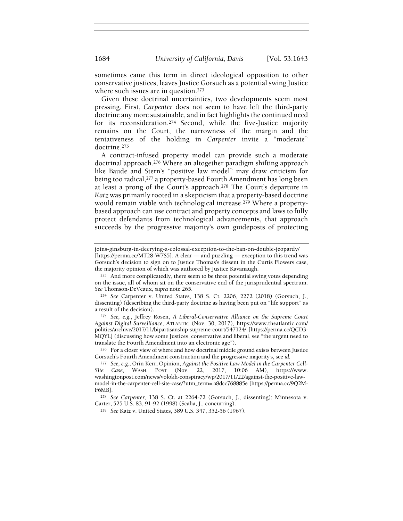sometimes came this term in direct ideological opposition to other conservative justices, leaves Justice Gorsuch as a potential swing Justice where such issues are in question.<sup>273</sup>

Given these doctrinal uncertainties, two developments seem most pressing. First, Carpenter does not seem to have left the third-party doctrine any more sustainable, and in fact highlights the continued need for its reconsideration.274 Second, while the five-Justice majority remains on the Court, the narrowness of the margin and the tentativeness of the holding in Carpenter invite a "moderate" doctrine.<sup>275</sup>

A contract-infused property model can provide such a moderate doctrinal approach.276 Where an altogether paradigm shifting approach like Baude and Stern's "positive law model" may draw criticism for being too radical,277 a property-based Fourth Amendment has long been at least a prong of the Court's approach.278 The Court's departure in Katz was primarily rooted in a skepticism that a property-based doctrine would remain viable with technological increase.<sup>279</sup> Where a propertybased approach can use contract and property concepts and laws to fully protect defendants from technological advancements, that approach succeeds by the progressive majority's own guideposts of protecting

joins-ginsburg-in-decrying-a-colossal-exception-to-the-ban-on-double-jeopardy/ [https://perma.cc/MT28-W7S5]. A clear — and puzzling — exception to this trend was Gorsuch's decision to sign on to Justice Thomas's dissent in the Curtis Flowers case, the majority opinion of which was authored by Justice Kavanaugh.

<sup>273</sup> And more complicatedly, there seem to be three potential swing votes depending on the issue, all of whom sit on the conservative end of the jurisprudential spectrum. See Thomson-DeVeaux, supra note 265.

<sup>274</sup> See Carpenter v. United States, 138 S. Ct. 2206, 2272 (2018) (Gorsuch, J., dissenting) (describing the third-party doctrine as having been put on "life support" as a result of the decision).

<sup>275</sup> See, e.g., Jeffrey Rosen, A Liberal-Conservative Alliance on the Supreme Court Against Digital Surveillance, ATLANTIC (Nov. 30, 2017), https://www.theatlantic.com/ politics/archive/2017/11/bipartisanship-supreme-court/547124/ [https://perma.cc/QCD3- MQYL] (discussing how some Justices, conservative and liberal, see "the urgent need to translate the Fourth Amendment into an electronic age").

<sup>276</sup> For a closer view of where and how doctrinal middle ground exists between Justice Gorsuch's Fourth Amendment construction and the progressive majority's, see id.

<sup>&</sup>lt;sup>277</sup> See, e.g., Orin Kerr, Opinion, Against the Positive Law Model in the Carpenter Cell-Site Case, WASH. POST (Nov. 22, 2017, 10:06 AM), https://www. washingtonpost.com/news/volokh-conspiracy/wp/2017/11/22/against-the-positive-lawmodel-in-the-carpenter-cell-site-case/?utm\_term=.a8dcc768885e [https://perma.cc/9Q2M-F6MB].

<sup>278</sup> See Carpenter, 138 S. Ct. at 2264-72 (Gorsuch, J., dissenting); Minnesota v. Carter, 525 U.S. 83, 91-92 (1998) (Scalia, J., concurring).

<sup>279</sup> See Katz v. United States, 389 U.S. 347, 352-56 (1967).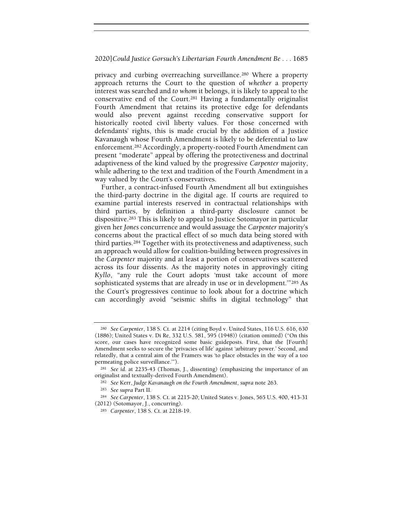privacy and curbing overreaching surveillance.280 Where a property approach returns the Court to the question of whether a property interest was searched and to whom it belongs, it is likely to appeal to the conservative end of the Court.281 Having a fundamentally originalist Fourth Amendment that retains its protective edge for defendants would also prevent against receding conservative support for historically rooted civil liberty values. For those concerned with defendants' rights, this is made crucial by the addition of a Justice Kavanaugh whose Fourth Amendment is likely to be deferential to law enforcement.282 Accordingly, a property-rooted Fourth Amendment can present "moderate" appeal by offering the protectiveness and doctrinal adaptiveness of the kind valued by the progressive Carpenter majority, while adhering to the text and tradition of the Fourth Amendment in a way valued by the Court's conservatives.

Further, a contract-infused Fourth Amendment all but extinguishes the third-party doctrine in the digital age. If courts are required to examine partial interests reserved in contractual relationships with third parties, by definition a third-party disclosure cannot be dispositive.283 This is likely to appeal to Justice Sotomayor in particular given her Jones concurrence and would assuage the Carpenter majority's concerns about the practical effect of so much data being stored with third parties.284 Together with its protectiveness and adaptiveness, such an approach would allow for coalition-building between progressives in the Carpenter majority and at least a portion of conservatives scattered across its four dissents. As the majority notes in approvingly citing Kyllo, "any rule the Court adopts 'must take account of more sophisticated systems that are already in use or in development.'"285 As the Court's progressives continue to look about for a doctrine which can accordingly avoid "seismic shifts in digital technology" that

<sup>280</sup> See Carpenter, 138 S. Ct. at 2214 (citing Boyd v. United States, 116 U.S. 616, 630 (1886); United States v. Di Re, 332 U.S. 581, 595 (1948)) (citation omitted) ("On this score, our cases have recognized some basic guideposts. First, that the [Fourth] Amendment seeks to secure the 'privacies of life' against 'arbitrary power.' Second, and relatedly, that a central aim of the Framers was 'to place obstacles in the way of a too permeating police surveillance.'").

<sup>281</sup> See id. at 2235-43 (Thomas, J., dissenting) (emphasizing the importance of an originalist and textually-derived Fourth Amendment).

<sup>&</sup>lt;sup>282</sup> See Kerr, Judge Kavanaugh on the Fourth Amendment, supra note 263.

<sup>283</sup> See supra Part II.

<sup>284</sup> See Carpenter, 138 S. Ct. at 2215-20; United States v. Jones, 565 U.S. 400, 413-31 (2012) (Sotomayor, J., concurring).

<sup>285</sup> Carpenter, 138 S. Ct. at 2218-19.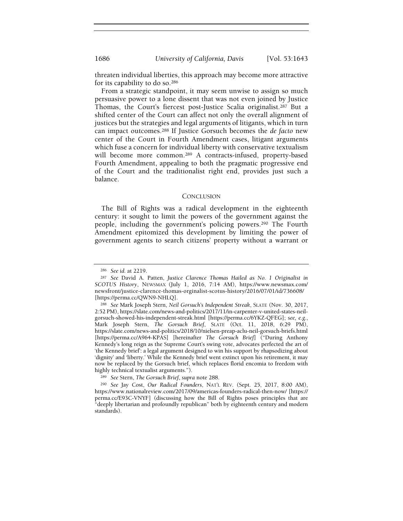threaten individual liberties, this approach may become more attractive for its capability to do so.<sup>286</sup>

From a strategic standpoint, it may seem unwise to assign so much persuasive power to a lone dissent that was not even joined by Justice Thomas, the Court's fiercest post-Justice Scalia originalist.287 But a shifted center of the Court can affect not only the overall alignment of justices but the strategies and legal arguments of litigants, which in turn can impact outcomes.288 If Justice Gorsuch becomes the de facto new center of the Court in Fourth Amendment cases, litigant arguments which fuse a concern for individual liberty with conservative textualism will become more common.<sup>289</sup> A contracts-infused, property-based Fourth Amendment, appealing to both the pragmatic progressive end of the Court and the traditionalist right end, provides just such a balance.

#### **CONCLUSION**

The Bill of Rights was a radical development in the eighteenth century: it sought to limit the powers of the government against the people, including the government's policing powers.290 The Fourth Amendment epitomized this development by limiting the power of government agents to search citizens' property without a warrant or

<sup>286</sup> See id. at 2219.

<sup>287</sup> See David A. Patten, Justice Clarence Thomas Hailed as No. 1 Originalist in SCOTUS History, NEWSMAX (July 1, 2016, 7:14 AM), https://www.newsmax.com/ newsfront/justice-clarence-thomas-orginalist-scotus-history/2016/07/01/id/736608/ [https://perma.cc/QWN9-NHLQ].

<sup>288</sup> See Mark Joseph Stern, Neil Gorsuch's Independent Streak, SLATE (Nov. 30, 2017, 2:52 PM), https://slate.com/news-and-politics/2017/11/in-carpenter-v-united-states-neilgorsuch-showed-his-independent-streak.html [https://perma.cc/6YKZ-QFEG]; see, e.g., Mark Joseph Stern, The Gorsuch Brief, SLATE (Oct. 11, 2018, 6:29 PM), https://slate.com/news-and-politics/2018/10/nielsen-preap-aclu-neil-gorsuch-briefs.html [https://perma.cc/A964-KPAS] [hereinafter The Gorsuch Brief] ("During Anthony Kennedy's long reign as the Supreme Court's swing vote, advocates perfected the art of 'the Kennedy brief': a legal argument designed to win his support by rhapsodizing about 'dignity' and 'liberty.' While the Kennedy brief went extinct upon his retirement, it may now be replaced by the Gorsuch brief, which replaces florid encomia to freedom with highly technical textualist arguments.").

<sup>289</sup> See Stern, The Gorsuch Brief, supra note 288.

<sup>290</sup> See Jay Cost, Our Radical Founders, NAT'L REV. (Sept. 25, 2017, 8:00 AM), https://www.nationalreview.com/2017/09/americas-founders-radical-then-now/ [https:// perma.cc/E93C-VNYF] (discussing how the Bill of Rights poses principles that are "deeply libertarian and profoundly republican" both by eighteenth century and modern standards).